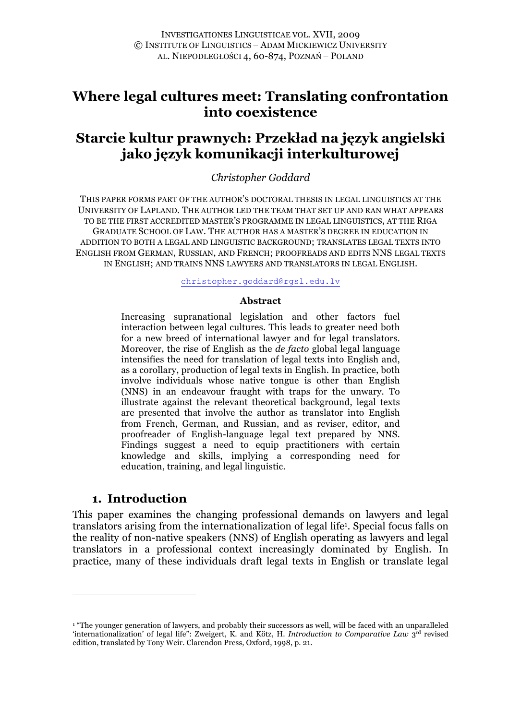# **Where legal cultures meet: Translating confrontation into coexistence**

# **Starcie kultur prawnych: Przekład na język angielski jako język komunikacji interkulturowej**

## *Christopher Goddard*

THIS PAPER FORMS PART OF THE AUTHOR'S DOCTORAL THESIS IN LEGAL LINGUISTICS AT THE UNIVERSITY OF LAPLAND. THE AUTHOR LED THE TEAM THAT SET UP AND RAN WHAT APPEARS TO BE THE FIRST ACCREDITED MASTER'S PROGRAMME IN LEGAL LINGUISTICS, AT THE RIGA GRADUATE SCHOOL OF LAW. THE AUTHOR HAS A MASTER'S DEGREE IN EDUCATION IN ADDITION TO BOTH A LEGAL AND LINGUISTIC BACKGROUND; TRANSLATES LEGAL TEXTS INTO ENGLISH FROM GERMAN, RUSSIAN, AND FRENCH; PROOFREADS AND EDITS NNS LEGAL TEXTS IN ENGLISH; AND TRAINS NNS LAWYERS AND TRANSLATORS IN LEGAL ENGLISH.

christopher.goddard@rgsl.edu.lv

#### **Abstract**

Increasing supranational legislation and other factors fuel interaction between legal cultures. This leads to greater need both for a new breed of international lawyer and for legal translators. Moreover, the rise of English as the *de facto* global legal language intensifies the need for translation of legal texts into English and, as a corollary, production of legal texts in English. In practice, both involve individuals whose native tongue is other than English (NNS) in an endeavour fraught with traps for the unwary. To illustrate against the relevant theoretical background, legal texts are presented that involve the author as translator into English from French, German, and Russian, and as reviser, editor, and proofreader of English-language legal text prepared by NNS. Findings suggest a need to equip practitioners with certain knowledge and skills, implying a corresponding need for education, training, and legal linguistic.

## **1. Introduction**

 $\overline{a}$ 

This paper examines the changing professional demands on lawyers and legal translators arising from the internationalization of legal life1. Special focus falls on the reality of non-native speakers (NNS) of English operating as lawyers and legal translators in a professional context increasingly dominated by English. In practice, many of these individuals draft legal texts in English or translate legal

<sup>&</sup>lt;sup>1</sup> "The younger generation of lawyers, and probably their successors as well, will be faced with an unparalleled 'internationalization' of legal life": Zweigert, K. and Kötz, H. *Introduction to Comparative Law* 3rd revised edition, translated by Tony Weir. Clarendon Press, Oxford, 1998, p. 21.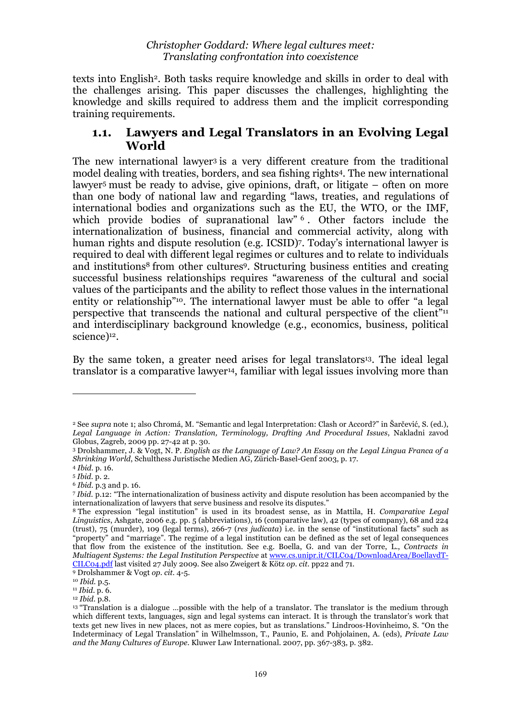texts into English<sup>2</sup>. Both tasks require knowledge and skills in order to deal with the challenges arising. This paper discusses the challenges, highlighting the knowledge and skills required to address them and the implicit corresponding training requirements.

# **1.1. Lawyers and Legal Translators in an Evolving Legal World**

The new international lawyer<sup>3</sup> is a very different creature from the traditional model dealing with treaties, borders, and sea fishing rights4. The new international lawyer5 must be ready to advise, give opinions, draft, or litigate – often on more than one body of national law and regarding "laws, treaties, and regulations of international bodies and organizations such as the EU, the WTO, or the IMF, which provide bodies of supranational law" <sup>6</sup>. Other factors include the internationalization of business, financial and commercial activity, along with human rights and dispute resolution (e.g. ICSID)7. Today's international lawyer is required to deal with different legal regimes or cultures and to relate to individuals and institutions<sup>8</sup> from other cultures<sup>9</sup>. Structuring business entities and creating successful business relationships requires "awareness of the cultural and social values of the participants and the ability to reflect those values in the international entity or relationship"<sup>10</sup>. The international lawyer must be able to offer "a legal perspective that transcends the national and cultural perspective of the client"11 and interdisciplinary background knowledge (e.g., economics, business, political science)<sup>12</sup>.

By the same token, a greater need arises for legal translators<sup>13</sup>. The ideal legal translator is a comparative lawyer<sup>14</sup>, familiar with legal issues involving more than

l

<sup>2</sup> See *supra* note 1; also Chromá, M. "Semantic and legal Interpretation: Clash or Accord?" in Šarčević, S. (ed.), *Legal Language in Action: Translation, Terminology, Drafting And Procedural Issues*, Nakladni zavod Globus, Zagreb, 2009 pp. 27-42 at p. 30.

<sup>3</sup> Drolshammer, J. & Vogt, N. P. *English as the Language of Law? An Essay on the Legal Lingua Franca of a Shrinking World*, Schulthess Juristische Medien AG, Zürich-Basel-Genf 2003, p. 17.

<sup>4</sup> *Ibid.* p. 16.

<sup>5</sup> *Ibid.* p. 2.

<sup>6</sup> *Ibid.* p.3 and p. 16.

<sup>7</sup> *Ibid.* p.12: "The internationalization of business activity and dispute resolution has been accompanied by the internationalization of lawyers that serve business and resolve its disputes."

<sup>8</sup> The expression "legal institution" is used in its broadest sense, as in Mattila, H. *Comparative Legal Linguistics*, Ashgate, 2006 e.g. pp. 5 (abbreviations), 16 (comparative law), 42 (types of company), 68 and 224 (trust), 75 (murder), 109 (legal terms), 266-7 (*res judicata*) i.e. in the sense of "institutional facts" such as "property" and "marriage". The regime of a legal institution can be defined as the set of legal consequences that flow from the existence of the institution. See e.g. Boella, G. and van der Torre, L., *Contracts in Multiagent Systems: the Legal Institution Perspective* at www.cs.unipr.it/CILC04/DownloadArea/BoellavdT-CILC04.pdf last visited 27 July 2009. See also Zweigert & Kötz *op. cit.* pp22 and 71.

<sup>9</sup> Drolshammer & Vogt *op. cit.* 4-5.

<sup>10</sup> *Ibid.* p.5.

<sup>11</sup> *Ibid*. p. 6.

<sup>12</sup> *Ibid.* p.8.

<sup>&</sup>lt;sup>13</sup> "Translation is a dialogue ...possible with the help of a translator. The translator is the medium through which different texts, languages, sign and legal systems can interact. It is through the translator's work that texts get new lives in new places, not as mere copies, but as translations." Lindroos-Hovinheimo, S. "On the Indeterminacy of Legal Translation" in Wilhelmsson, T., Paunio, E. and Pohjolainen, A. (eds), *Private Law and the Many Cultures of Europe*. Kluwer Law International. 2007, pp. 367-383, p. 382.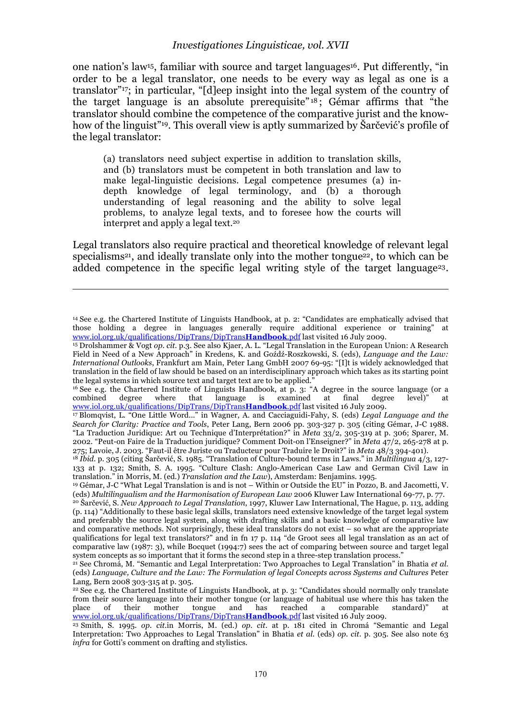one nation's law<sup>15</sup>, familiar with source and target languages<sup>16</sup>. Put differently, "in order to be a legal translator, one needs to be every way as legal as one is a translator"17; in particular, "[d]eep insight into the legal system of the country of the target language is an absolute prerequisite"  $18$ ; Gémar affirms that "the translator should combine the competence of the comparative jurist and the knowhow of the linguist"<sup>19</sup>. This overall view is aptly summarized by Šarčević's profile of the legal translator:

(a) translators need subject expertise in addition to translation skills, and (b) translators must be competent in both translation and law to make legal-linguistic decisions. Legal competence presumes (a) indepth knowledge of legal terminology, and (b) a thorough understanding of legal reasoning and the ability to solve legal problems, to analyze legal texts, and to foresee how the courts will interpret and apply a legal text.20

Legal translators also require practical and theoretical knowledge of relevant legal specialisms<sup>21</sup>, and ideally translate only into the mother tongue<sup>22</sup>, to which can be added competence in the specific legal writing style of the target language<sup>23</sup>.

 $\overline{a}$ 

<sup>16</sup> See e.g. the Chartered Institute of Linguists Handbook, at p. 3: "A degree in the source language (or a combined degree where that language is examined at final degree level)" at combined degree where that language is examined at final degree level)" at www.iol.org.uk/qualifications/DipTrans/DipTrans**Handbook**.pdf last visited 16 July 2009.

17 Blomqvist, L. "One Little Word..." in Wagner, A. and Cacciaguidi-Fahy, S. (eds) *Legal Language and the Search for Clarity: Practice and Tools*, Peter Lang, Bern 2006 pp. 303-327 p. 305 (citing Gémar, J-C 1988. "La Traduction Juridique: Art ou Technique d'Interprétation?" in *Meta* 33/2, 305-319 at p. 306; Sparer, M. 2002. "Peut-on Faire de la Traduction juridique? Comment Doit-on l'Enseigner?" in *Meta* 47/2, 265-278 at p. 275; Lavoie, J. 2003. "Faut-il être Juriste ou Traducteur pour Traduire le Droit?" in *Meta* 48/3 394-401).

<sup>14</sup> See e.g. the Chartered Institute of Linguists Handbook, at p. 2: "Candidates are emphatically advised that those holding a degree in languages generally require additional experience or training" at www.iol.org.uk/qualifications/DipTrans/DipTrans**Handbook**.pdf last visited 16 July 2009.

<sup>15</sup> Drolshammer & Vogt *op. cit.* p.3. See also Kjaer, A. L. "Legal Translation in the European Union: A Research Field in Need of a New Approach" in Kredens, K. and Goźdź-Roszkowski, S. (eds), *Language and the Law: International Outlooks*, Frankfurt am Main, Peter Lang GmbH 2007 69-95: "[I]t is widely acknowledged that translation in the field of law should be based on an interdisciplinary approach which takes as its starting point the legal systems in which source text and target text are to be applied."

<sup>18</sup> *Ibid.* p. 305 (citing Šarčević, S. 1985. "Translation of Culture-bound terms in Laws." in *Multilingua* 4/3, 127- 133 at p. 132; Smith, S. A. 1995. "Culture Clash: Anglo-American Case Law and German Civil Law in translation." in Morris, M. (ed.) *Translation and the Law*), Amsterdam: Benjamins. 1995.

<sup>19</sup> Gémar, J-C "What Legal Translation is and is not – Within or Outside the EU" in Pozzo, B. and Jacometti, V. (eds) *Multilingualism and the Harmonisation of European Law* 2006 Kluwer Law International 69-77, p. 77.

<sup>20</sup> Šarčević, S. *New Approach to Legal Translation*, 1997, Kluwer Law International, The Hague, p. 113, adding (p. 114) "Additionally to these basic legal skills, translators need extensive knowledge of the target legal system and preferably the source legal system, along with drafting skills and a basic knowledge of comparative law and comparative methods. Not surprisingly, these ideal translators do not exist – so what are the appropriate qualifications for legal text translators?" and in fn 17 p. 114 "de Groot sees all legal translation as an act of comparative law (1987: 3), while Bocquet (1994:7) sees the act of comparing between source and target legal system concepts as so important that it forms the second step in a three-step translation process."

<sup>21</sup> See Chromá, M. "Semantic and Legal Interpretation: Two Approaches to Legal Translation" in Bhatia *et al.* (eds) *Language, Culture and the Law: The Formulation of legal Concepts across Systems and Cultures* Peter Lang, Bern 2008 303-315 at p. 305.<br><sup>22</sup> See e.g. the Chartered Institute of Linguists Handbook, at p. 3: "Candidates should normally only translate

from their source language into their mother tongue (or language of habitual use where this has taken the place of their mother tongue and has reached a comparable standard)" at www.iol.org.uk/qualifications/DipTrans/DipTrans**Handbook**.pdf last visited 16 July 2009.

<sup>23</sup> Smith, S. 1995. *op. cit.*in Morris, M. (ed.) *op. cit.* at p. 181 cited in Chromá "Semantic and Legal Interpretation: Two Approaches to Legal Translation" in Bhatia *et al.* (eds) *op. cit.* p. 305. See also note 63 *infra* for Gotti's comment on drafting and stylistics.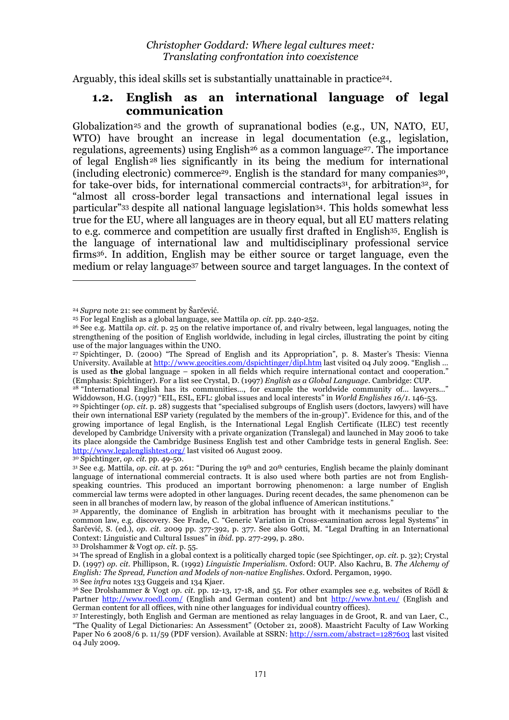Arguably, this ideal skills set is substantially unattainable in practice<sup>24</sup>.

# **1.2. English as an international language of legal communication**

Globalization<sup>25</sup> and the growth of supranational bodies (e.g., UN, NATO, EU, WTO) have brought an increase in legal documentation (e.g., legislation, regulations, agreements) using English<sup>26</sup> as a common language<sup>27</sup>. The importance of legal English28 lies significantly in its being the medium for international (including electronic) commerce29. English is the standard for many companies30, for take-over bids, for international commercial contracts<sup>31</sup>, for arbitration<sup>32</sup>, for "almost all cross-border legal transactions and international legal issues in particular"33 despite all national language legislation34. This holds somewhat less true for the EU, where all languages are in theory equal, but all EU matters relating to e.g. commerce and competition are usually first drafted in English<sup>35</sup>. English is the language of international law and multidisciplinary professional service firms36. In addition, English may be either source or target language, even the medium or relay language37 between source and target languages. In the context of

 $\overline{a}$ 

30 Spichtinger, *op. cit.* pp. 49-50.

33 Drolshammer & Vogt *op. cit.* p. 55.

<sup>24</sup> *Supra* note 21: see comment by Šarčević.

<sup>25</sup> For legal English as a global language, see Mattila *op. cit.* pp. 240-252.

<sup>26</sup> See e.g. Mattila *op. cit*. p. 25 on the relative importance of, and rivalry between, legal languages, noting the strengthening of the position of English worldwide, including in legal circles, illustrating the point by citing use of the major languages within the UNO.

<sup>27</sup> Spichtinger, D. (2000) "The Spread of English and its Appropriation", p. 8. Master's Thesis: Vienna University. Available at http://www.geocities.com/dspichtinger/dipl.htm last visited 04 July 2009. "English ... is used as **the** global language – spoken in all fields which require international contact and cooperation." (Emphasis: Spichtinger). For a list see Crystal, D. (1997) *English as a Global Language*. Cambridge: CUP.

<sup>28 &</sup>quot;International English has its communities…, for example the worldwide community of… lawyers…" Widdowson, H.G. (1997) "EIL, ESL, EFL: global issues and local interests" in *World Englishes 16/1.* 146-53.

<sup>29</sup> Spichtinger (*op. cit.* p. 28) suggests that "specialised subgroups of English users (doctors, lawyers) will have their own international ESP variety (regulated by the members of the in-group)". Evidence for this, and of the growing importance of legal English, is the International Legal English Certificate (ILEC) test recently developed by Cambridge University with a private organization (Translegal) and launched in May 2006 to take its place alongside the Cambridge Business English test and other Cambridge tests in general English. See: http://www.legalenglishtest.org/ last visited 06 August 2009.

<sup>31</sup> See e.g. Mattila, *op. cit.* at p. 261: "During the 19th and 20th centuries, English became the plainly dominant language of international commercial contracts. It is also used where both parties are not from Englishspeaking countries. This produced an important borrowing phenomenon: a large number of English commercial law terms were adopted in other languages. During recent decades, the same phenomenon can be seen in all branches of modern law, by reason of the global influence of American institutions."

<sup>32</sup> Apparently, the dominance of English in arbitration has brought with it mechanisms peculiar to the common law, e.g. discovery. See Frade, C. "Generic Variation in Cross-examination across legal Systems" in Šarčević, S. (ed.), *op. cit.* 2009 pp. 377-392, p. 377. See also Gotti, M. "Legal Drafting in an International Context: Linguistic and Cultural Issues" in *ibid.* pp. 277-299, p. 280.

<sup>34</sup> The spread of English in a global context is a politically charged topic (see Spichtinger, *op. cit.* p. 32); Crystal D. (1997) *op. cit.* Phillipson, R. (1992) *Linguistic Imperialism*. Oxford: OUP. Also Kachru, B*. The Alchemy of English: The Spread, Function and Models of non-native Englishes*. Oxford. Pergamon, 1990. 35 See *infra* notes 133 Guggeis and 134 Kjaer.

<sup>36</sup> See Drolshammer & Vogt *op. cit.* pp. 12-13, 17-18, and 55. For other examples see e.g. websites of Rödl & Partner http://www.roedl.com/ (English and German content) and bnt http://www.bnt.eu/ (English and German content for all offices, with nine other languages for individual country offices).

<sup>37</sup> Interestingly, both English and German are mentioned as relay languages in de Groot, R. and van Laer, C., "The Quality of Legal Dictionaries: An Assessment" (October 21, 2008). Maastricht Faculty of Law Working Paper No 6 2008/6 p. 11/59 (PDF version). Available at SSRN: http://ssrn.com/abstract=1287603 last visited 04 July 2009.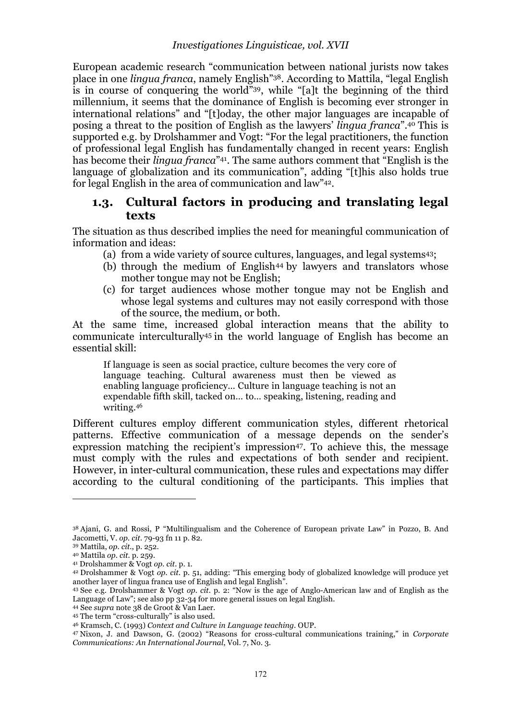European academic research "communication between national jurists now takes place in one *lingua franca*, namely English"38. According to Mattila, "legal English is in course of conquering the world"39, while "[a]t the beginning of the third millennium, it seems that the dominance of English is becoming ever stronger in international relations" and "[t]oday, the other major languages are incapable of posing a threat to the position of English as the lawyers' *lingua franca*".40 This is supported e.g. by Drolshammer and Vogt: "For the legal practitioners, the function of professional legal English has fundamentally changed in recent years: English has become their *lingua franca*"41. The same authors comment that "English is the language of globalization and its communication", adding "[t]his also holds true for legal English in the area of communication and law"42.

# **1.3. Cultural factors in producing and translating legal texts**

The situation as thus described implies the need for meaningful communication of information and ideas:

- (a) from a wide variety of source cultures, languages, and legal systems43;
- (b) through the medium of English<sup>44</sup> by lawyers and translators whose mother tongue may not be English;
- (c) for target audiences whose mother tongue may not be English and whose legal systems and cultures may not easily correspond with those of the source, the medium, or both.

At the same time, increased global interaction means that the ability to communicate interculturally45 in the world language of English has become an essential skill:

If language is seen as social practice, culture becomes the very core of language teaching. Cultural awareness must then be viewed as enabling language proficiency… Culture in language teaching is not an expendable fifth skill, tacked on… to… speaking, listening, reading and writing.46

Different cultures employ different communication styles, different rhetorical patterns. Effective communication of a message depends on the sender's expression matching the recipient's impression<sup>47</sup>. To achieve this, the message must comply with the rules and expectations of both sender and recipient. However, in inter-cultural communication, these rules and expectations may differ according to the cultural conditioning of the participants. This implies that

<sup>38</sup> Ajani, G. and Rossi, P "Multilingualism and the Coherence of European private Law" in Pozzo, B. And Jacometti, V. *op. cit.* 79-93 fn 11 p. 82.

<sup>39</sup> Mattila, *op. cit.*, p. 252.

<sup>40</sup> Mattila *op. cit.* p. 259.

<sup>41</sup> Drolshammer & Vogt *op. cit.* p. 1.

<sup>42</sup> Drolshammer & Vogt *op. cit.* p. 51, adding: "This emerging body of globalized knowledge will produce yet another layer of lingua franca use of English and legal English".

<sup>43</sup> See e.g. Drolshammer & Vogt *op. cit.* p. 2: "Now is the age of Anglo-American law and of English as the Language of Law"; see also pp 32-34 for more general issues on legal English.

<sup>44</sup> See *supra* note 38 de Groot & Van Laer.

<sup>&</sup>lt;sup>45</sup> The term "cross-culturally" is also used.<br><sup>46</sup> Kramsch, C. (1993) Context and Culture in Language teaching. OUP.

<sup>&</sup>lt;sup>47</sup> Nixon, J. and Dawson, G. (2002) "Reasons for cross-cultural communications training," in *Corporate Communications: An International Journal*, Vol. 7, No. 3.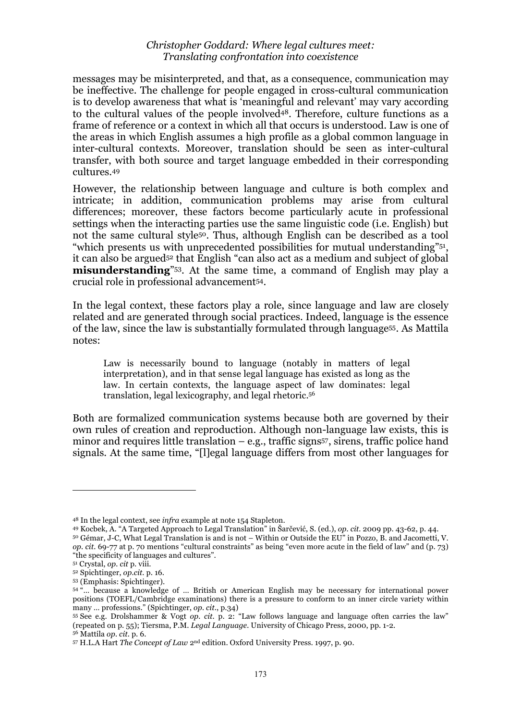messages may be misinterpreted, and that, as a consequence, communication may be ineffective. The challenge for people engaged in cross-cultural communication is to develop awareness that what is 'meaningful and relevant' may vary according to the cultural values of the people involved48. Therefore, culture functions as a frame of reference or a context in which all that occurs is understood. Law is one of the areas in which English assumes a high profile as a global common language in inter-cultural contexts. Moreover, translation should be seen as inter-cultural transfer, with both source and target language embedded in their corresponding cultures.49

However, the relationship between language and culture is both complex and intricate; in addition, communication problems may arise from cultural differences; moreover, these factors become particularly acute in professional settings when the interacting parties use the same linguistic code (i.e. English) but not the same cultural style50. Thus, although English can be described as a tool "which presents us with unprecedented possibilities for mutual understanding"51, it can also be argued<sup>52</sup> that English "can also act as a medium and subject of global **misunderstanding**"53. At the same time, a command of English may play a crucial role in professional advancement54.

In the legal context, these factors play a role, since language and law are closely related and are generated through social practices. Indeed, language is the essence of the law, since the law is substantially formulated through language55. As Mattila notes:

Law is necessarily bound to language (notably in matters of legal interpretation), and in that sense legal language has existed as long as the law. In certain contexts, the language aspect of law dominates: legal translation, legal lexicography, and legal rhetoric.56

Both are formalized communication systems because both are governed by their own rules of creation and reproduction. Although non-language law exists, this is minor and requires little translation  $-$  e.g., traffic signs<sup>57</sup>, sirens, traffic police hand signals. At the same time, "[l]egal language differs from most other languages for

<sup>&</sup>lt;sup>48</sup> In the legal context, see *infra* example at note 154 Stapleton.<br><sup>49</sup> Kocbek, A. "A Targeted Approach to Legal Translation" in Šarčević, S. (ed.), *op. cit.* 2009 pp. 43-62, p. 44.

<sup>&</sup>lt;sup>49</sup> Kocbek, A. "A Targeted Approach to Legal Translation" in Šarčević, S. (ed.), *op. cit.* 2009 pp. 43-62, p. 44.<br><sup>50</sup> Gémar, J-C, What Legal Translation is and is not – Within or Outside the EU" in Pozzo, B. and Jacomet *op. cit.* 69-77 at p. 70 mentions "cultural constraints" as being "even more acute in the field of law" and (p. 73) "the specificity of languages and cultures".

<sup>51</sup> Crystal, *op. cit* p. viii.

<sup>52</sup> Spichtinger, *op.cit.* p. 16.

<sup>53 (</sup>Emphasis: Spichtinger).

<sup>54 &</sup>quot;… because a knowledge of … British or American English may be necessary for international power positions (TOEFL/Cambridge examinations) there is a pressure to conform to an inner circle variety within many … professions." (Spichtinger, *op. cit.*, p.34)

<sup>55</sup> See e.g. Drolshammer & Vogt *op. cit.* p. 2: "Law follows language and language often carries the law" (repeated on p. 55); Tiersma, P.M. *Legal Language.* University of Chicago Press, 2000, pp. 1-2. 56 Mattila *op. cit.* p. 6.

<sup>57</sup> H.L.A Hart *The Concept of Law* 2nd edition. Oxford University Press. 1997, p. 90.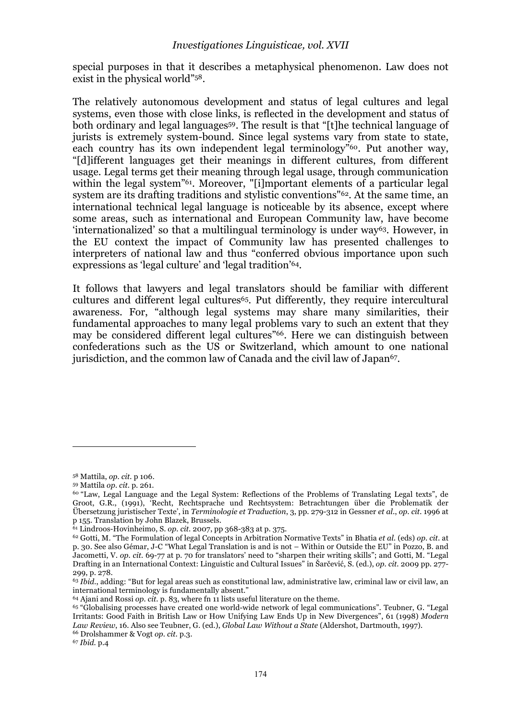special purposes in that it describes a metaphysical phenomenon. Law does not exist in the physical world"58.

The relatively autonomous development and status of legal cultures and legal systems, even those with close links, is reflected in the development and status of both ordinary and legal languages<sup>59</sup>. The result is that "[t]he technical language of jurists is extremely system-bound. Since legal systems vary from state to state, each country has its own independent legal terminology<sup>"60</sup>. Put another way, "[d]ifferent languages get their meanings in different cultures, from different usage. Legal terms get their meaning through legal usage, through communication within the legal system<sup>"61</sup>. Moreover, "[i]mportant elements of a particular legal system are its drafting traditions and stylistic conventions"62. At the same time, an international technical legal language is noticeable by its absence, except where some areas, such as international and European Community law, have become 'internationalized' so that a multilingual terminology is under way63. However, in the EU context the impact of Community law has presented challenges to interpreters of national law and thus "conferred obvious importance upon such expressions as 'legal culture' and 'legal tradition'64.

It follows that lawyers and legal translators should be familiar with different cultures and different legal cultures<sup>65</sup>. Put differently, they require intercultural awareness. For, "although legal systems may share many similarities, their fundamental approaches to many legal problems vary to such an extent that they may be considered different legal cultures"66. Here we can distinguish between confederations such as the US or Switzerland, which amount to one national jurisdiction, and the common law of Canada and the civil law of Japan<sup>67</sup>.

 $\overline{a}$ 

64 Ajani and Rossi *op. cit.* p. 83, where fn 11 lists useful literature on the theme.

<sup>58</sup> Mattila, *op. cit.* p 106.

<sup>59</sup> Mattila *op. cit.* p. 261.

<sup>60 &</sup>quot;Law, Legal Language and the Legal System: Reflections of the Problems of Translating Legal texts", de Groot, G.R., (1991), 'Recht, Rechtsprache und Rechtsystem: Betrachtungen über die Problematik der Übersetzung juristischer Texte', in *Terminologie et Traduction*, 3, pp. 279-312 in Gessner *et al.*, *op. cit*. 1996 at p 155. Translation by John Blazek, Brussels.

<sup>61</sup> Lindroos-Hovinheimo, S. *op. cit.* 2007, pp 368-383 at p. 375.

<sup>62</sup> Gotti, M. "The Formulation of legal Concepts in Arbitration Normative Texts" in Bhatia *et al.* (eds) *op. cit.* at p. 30. See also Gémar, J-C "What Legal Translation is and is not – Within or Outside the EU" in Pozzo, B. and Jacometti, V. *op. cit.* 69-77 at p. 70 for translators' need to "sharpen their writing skills"; and Gotti, M. "Legal Drafting in an International Context: Linguistic and Cultural Issues" in Šarčević, S. (ed.), *op. cit.* 2009 pp. 277- 299, p. 278.

<sup>63</sup> *Ibid.*, adding: "But for legal areas such as constitutional law, administrative law, criminal law or civil law, an international terminology is fundamentally absent."

<sup>&</sup>lt;sup>65</sup> "Globalising processes have created one world-wide network of legal communications". Teubner, G. "Legal Irritants: Good Faith in British Law or How Unifying Law Ends Up in New Divergences", 61 (1998) *Modern Law Review*, 16. Also see Teubner, G. (ed.), *Global Law Without a State* (Aldershot, Dartmouth, 1997). 66 Drolshammer & Vogt *op. cit.* p.3.

<sup>67</sup> *Ibid.* p.4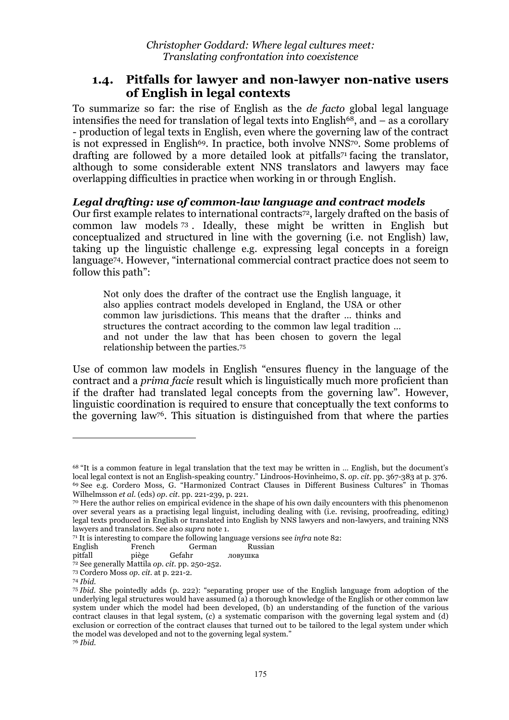# **1.4. Pitfalls for lawyer and non-lawyer non-native users of English in legal contexts**

To summarize so far: the rise of English as the *de facto* global legal language intensifies the need for translation of legal texts into English<sup>68</sup>, and  $-$  as a corollary - production of legal texts in English, even where the governing law of the contract is not expressed in English<sup>69</sup>. In practice, both involve NNS<sup>70</sup>. Some problems of drafting are followed by a more detailed look at pitfalls71 facing the translator, although to some considerable extent NNS translators and lawyers may face overlapping difficulties in practice when working in or through English.

## *Legal drafting: use of common-law language and contract models*

Our first example relates to international contracts72, largely drafted on the basis of common law models <sup>73</sup> . Ideally, these might be written in English but conceptualized and structured in line with the governing (i.e. not English) law, taking up the linguistic challenge e.g. expressing legal concepts in a foreign language74. However, "international commercial contract practice does not seem to follow this path":

Not only does the drafter of the contract use the English language, it also applies contract models developed in England, the USA or other common law jurisdictions. This means that the drafter … thinks and structures the contract according to the common law legal tradition … and not under the law that has been chosen to govern the legal relationship between the parties.75

Use of common law models in English "ensures fluency in the language of the contract and a *prima facie* result which is linguistically much more proficient than if the drafter had translated legal concepts from the governing law". However, linguistic coordination is required to ensure that conceptually the text conforms to the governing law76. This situation is distinguished from that where the parties

l

<sup>68 &</sup>quot;It is a common feature in legal translation that the text may be written in … English, but the document's local legal context is not an English-speaking country." Lindroos-Hovinheimo, S. *op. cit.* pp. 367-383 at p. 376. 69 See e.g. Cordero Moss, G. "Harmonized Contract Clauses in Different Business Cultures" in Thomas Wilhelmsson *et al.* (eds) *op. cit.* pp. 221-239, p. 221.

<sup>70</sup> Here the author relies on empirical evidence in the shape of his own daily encounters with this phenomenon over several years as a practising legal linguist, including dealing with (i.e. revising, proofreading, editing) legal texts produced in English or translated into English by NNS lawyers and non-lawyers, and training NNS lawyers and translators. See also *supra* note 1.

<sup>71</sup> It is interesting to compare the following language versions see *infra* note 82:

English French German Russian<br>pitfall piège Gefahr ловушка

pitfall piège Gefahr ловушка

<sup>72</sup> See generally Mattila *op. cit.* pp. 250-252.

<sup>73</sup> Cordero Moss *op. cit.* at p. 221-2.

<sup>74</sup> *Ibid.*

<sup>75</sup> *Ibid.* She pointedly adds (p. 222): "separating proper use of the English language from adoption of the underlying legal structures would have assumed (a) a thorough knowledge of the English or other common law system under which the model had been developed, (b) an understanding of the function of the various contract clauses in that legal system, (c) a systematic comparison with the governing legal system and (d) exclusion or correction of the contract clauses that turned out to be tailored to the legal system under which the model was developed and not to the governing legal system." <sup>76</sup> *Ibid.*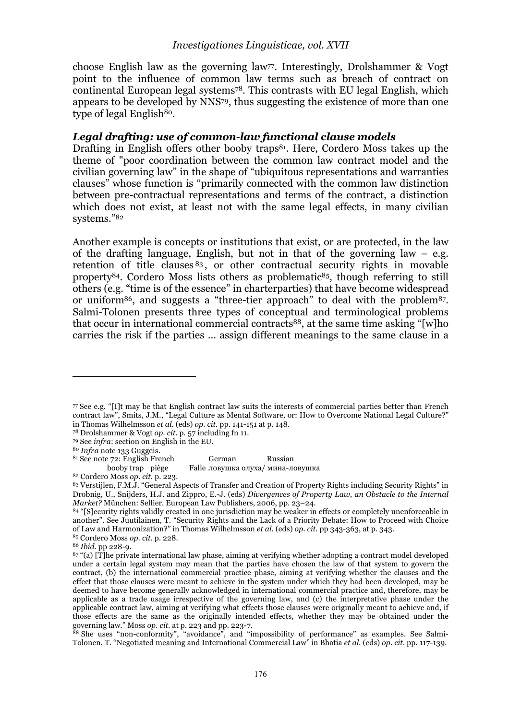choose English law as the governing law77. Interestingly, Drolshammer & Vogt point to the influence of common law terms such as breach of contract on continental European legal systems78. This contrasts with EU legal English, which appears to be developed by NNS79, thus suggesting the existence of more than one type of legal English<sup>80</sup>.

## *Legal drafting: use of common-law functional clause models*

Drafting in English offers other booby traps<sup>81</sup>. Here, Cordero Moss takes up the theme of "poor coordination between the common law contract model and the civilian governing law" in the shape of "ubiquitous representations and warranties clauses" whose function is "primarily connected with the common law distinction between pre-contractual representations and terms of the contract, a distinction which does not exist, at least not with the same legal effects, in many civilian systems."82

Another example is concepts or institutions that exist, or are protected, in the law of the drafting language, English, but not in that of the governing law  $-$  e.g. retention of title clauses <sup>83</sup> , or other contractual security rights in movable property84. Cordero Moss lists others as problematic85, though referring to still others (e.g. "time is of the essence" in charterparties) that have become widespread or uniform86, and suggests a "three-tier approach" to deal with the problem87. Salmi-Tolonen presents three types of conceptual and terminological problems that occur in international commercial contracts88, at the same time asking "[w]ho carries the risk if the parties … assign different meanings to the same clause in a

 $\overline{a}$ 

81 See note 72: English French German Russian

booby trap piège Falle ловушка олуха/ мина-ловушка

<sup>77</sup> See e.g. "[I]t may be that English contract law suits the interests of commercial parties better than French contract law", Smits, J.M., "Legal Culture as Mental Software, or: How to Overcome National Legal Culture?" in Thomas Wilhelmsson *et al.* (eds) *op. cit.* pp. 141-151 at p. 148.

<sup>78</sup> Drolshammer & Vogt *op. cit.* p. 57 including fn 11.

<sup>79</sup> See *infra*: section on English in the EU.

<sup>80</sup> *Infra* note 133 Guggeis.

<sup>82</sup> Cordero Moss *op. cit.* p. 223.

<sup>83</sup> Verstijlen, F.M.J. "General Aspects of Transfer and Creation of Property Rights including Security Rights" in Drobnig, U., Snijders, H.J. and Zippro, E.-J. (eds) *Divergences of Property Law, an Obstacle to the Internal Market?* München: Sellier. European Law Publishers, 2006, pp. 23–24.

<sup>84 &</sup>quot;[S]ecurity rights validly created in one jurisdiction may be weaker in effects or completely unenforceable in another". See Juutilainen, T. "Security Rights and the Lack of a Priority Debate: How to Proceed with Choice of Law and Harmonization?" in Thomas Wilhelmsson *et al.* (eds) *op. cit.* pp 343-363, at p. 343.

<sup>85</sup> Cordero Moss *op. cit.* p. 228.

<sup>86</sup> *Ibid.* pp 228-9.

<sup>87 &</sup>quot;(a) [T]he private international law phase, aiming at verifying whether adopting a contract model developed under a certain legal system may mean that the parties have chosen the law of that system to govern the contract, (b) the international commercial practice phase, aiming at verifying whether the clauses and the effect that those clauses were meant to achieve in the system under which they had been developed, may be deemed to have become generally acknowledged in international commercial practice and, therefore, may be applicable as a trade usage irrespective of the governing law, and (c) the interpretative phase under the applicable contract law, aiming at verifying what effects those clauses were originally meant to achieve and, if those effects are the same as the originally intended effects, whether they may be obtained under the governing law." Moss *op. cit.* at p. 223 and pp. 223-7.

<sup>&</sup>lt;sup>88</sup> She uses "non-conformity", "avoidance", and "impossibility of performance" as examples. See Salmi-Tolonen, T. "Negotiated meaning and International Commercial Law" in Bhatia *et al.* (eds) *op. cit.* pp. 117-139.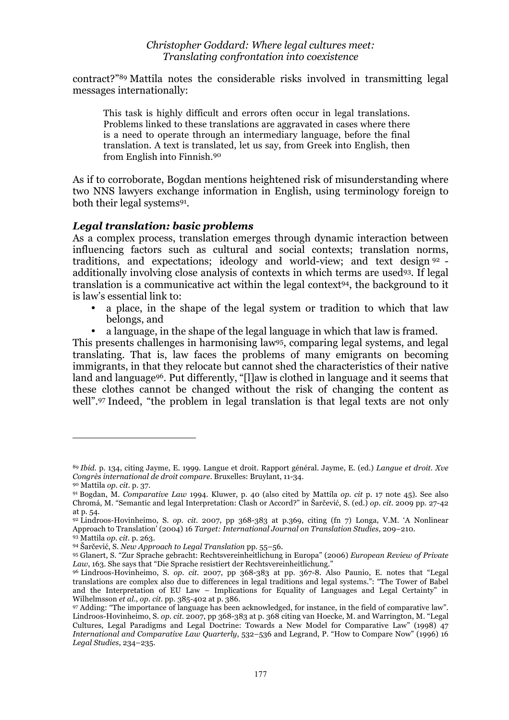contract?"89 Mattila notes the considerable risks involved in transmitting legal messages internationally:

This task is highly difficult and errors often occur in legal translations. Problems linked to these translations are aggravated in cases where there is a need to operate through an intermediary language, before the final translation. A text is translated, let us say, from Greek into English, then from English into Finnish.90

As if to corroborate, Bogdan mentions heightened risk of misunderstanding where two NNS lawyers exchange information in English, using terminology foreign to both their legal systems91.

## *Legal translation: basic problems*

As a complex process, translation emerges through dynamic interaction between influencing factors such as cultural and social contexts; translation norms, traditions, and expectations; ideology and world-view; and text design <sup>92</sup> additionally involving close analysis of contexts in which terms are used93. If legal translation is a communicative act within the legal context94, the background to it is law's essential link to:

- a place, in the shape of the legal system or tradition to which that law belongs, and
- a language, in the shape of the legal language in which that law is framed.

This presents challenges in harmonising law95, comparing legal systems, and legal translating. That is, law faces the problems of many emigrants on becoming immigrants, in that they relocate but cannot shed the characteristics of their native land and language96. Put differently, "[l]aw is clothed in language and it seems that these clothes cannot be changed without the risk of changing the content as well".97 Indeed, "the problem in legal translation is that legal texts are not only

l

<sup>89</sup> *Ibid.* p. 134, citing Jayme, E. 1999. Langue et droit. Rapport général. Jayme, E. (ed.) *Langue et droit. Xve Congrès international de droit compare*. Bruxelles: Bruylant, 11-34.

<sup>90</sup> Mattila *op. cit.* p. 37.

<sup>91</sup> Bogdan, M. *Comparative Law* 1994. Kluwer, p. 40 (also cited by Mattila *op. cit* p. 17 note 45). See also Chromá, M. "Semantic and legal Interpretation: Clash or Accord?" in Šarčević, S. (ed.) *op. cit.* 2009 pp. 27-42 at p. 54.

<sup>92</sup> Lindroos-Hovinheimo, S. *op. cit.* 2007, pp 368-383 at p.369, citing (fn 7) Longa, V.M. 'A Nonlinear Approach to Translation' (2004) 16 *Target: International Journal on Translation Studies*, 209–210.

<sup>93</sup> Mattila *op. cit.* p. 263.

<sup>94</sup> Šarčević, S. *New Approach to Legal Translation* pp. 55–56.

<sup>95</sup> Glanert, S. "Zur Sprache gebracht: Rechtsvereinheitlichung in Europa" (2006) *European Review of Private Law*, 163. She says that "Die Sprache resistiert der Rechtsvereinheitlichung."

<sup>96</sup> Lindroos-Hovinheimo, S. *op. cit.* 2007, pp 368-383 at pp. 367-8. Also Paunio, E. notes that "Legal translations are complex also due to differences in legal traditions and legal systems.": "The Tower of Babel and the Interpretation of EU Law – Implications for Equality of Languages and Legal Certainty" in Wilhelmsson *et al.*, *op. cit.* pp. 385-402 at p. 386.

<sup>97</sup> Adding: "The importance of language has been acknowledged, for instance, in the field of comparative law". Lindroos-Hovinheimo, S. *op. cit.* 2007, pp 368-383 at p. 368 citing van Hoecke, M. and Warrington, M. "Legal Cultures, Legal Paradigms and Legal Doctrine: Towards a New Model for Comparative Law" (1998) 47 *International and Comparative Law Quarterly*, 532–536 and Legrand, P. "How to Compare Now" (1996) 16 *Legal Studies*, 234–235.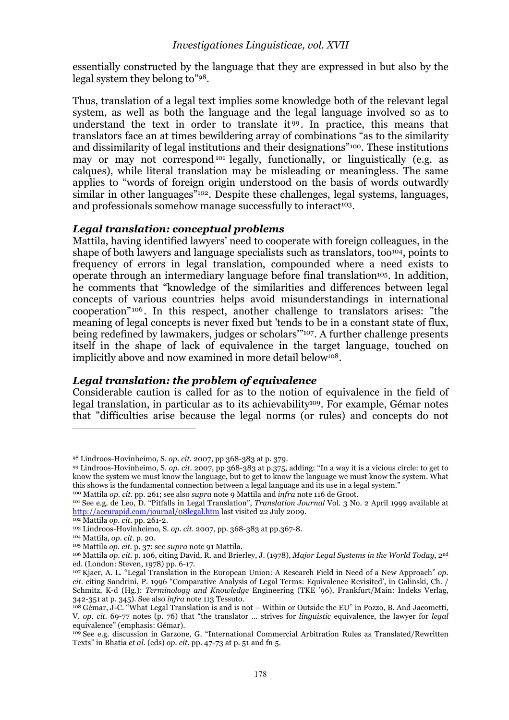essentially constructed by the language that they are expressed in but also by the legal system they belong to"98.

Thus, translation of a legal text implies some knowledge both of the relevant legal system, as well as both the language and the legal language involved so as to understand the text in order to translate it <sup>99</sup> . In practice, this means that translators face an at times bewildering array of combinations "as to the similarity and dissimilarity of legal institutions and their designations"100. These institutions may or may not correspond 101 legally, functionally, or linguistically (e.g. as calques), while literal translation may be misleading or meaningless. The same applies to "words of foreign origin understood on the basis of words outwardly similar in other languages<sup>"102</sup>. Despite these challenges, legal systems, languages, and professionals somehow manage successfully to interact<sup>103</sup>.

#### *Legal translation: conceptual problems*

Mattila, having identified lawyers' need to cooperate with foreign colleagues, in the shape of both lawyers and language specialists such as translators, too<sup>104</sup>, points to frequency of errors in legal translation, compounded where a need exists to operate through an intermediary language before final translation105. In addition, he comments that "knowledge of the similarities and differences between legal concepts of various countries helps avoid misunderstandings in international cooperation" <sup>106</sup> . In this respect, another challenge to translators arises: "the meaning of legal concepts is never fixed but 'tends to be in a constant state of flux, being redefined by lawmakers, judges or scholars'"107. A further challenge presents itself in the shape of lack of equivalence in the target language, touched on implicitly above and now examined in more detail below<sup>108</sup>.

## *Legal translation: the problem of equivalence*

Considerable caution is called for as to the notion of equivalence in the field of legal translation, in particular as to its achievability<sup>109</sup>. For example, Gémar notes that "difficulties arise because the legal norms (or rules) and concepts do not

100 Mattila *op. cit.* pp. 261; see also *supra* note 9 Mattila and *infra* note 116 de Groot.

<sup>98</sup> Lindroos-Hovinheimo, S. *op. cit.* 2007, pp 368-383 at p. 379.

<sup>99</sup> Lindroos-Hovinheimo, S. *op. cit.* 2007, pp 368-383 at p.375, adding: "In a way it is a vicious circle: to get to know the system we must know the language, but to get to know the language we must know the system. What this shows is the fundamental connection between a legal language and its use in a legal system."

<sup>101</sup> See e.g. de Leo, D. "Pitfalls in Legal Translation", *Translation Journal* Vol. 3 No. 2 April 1999 available at http://accurapid.com/journal/08legal.htm last visited 22 July 2009.

<sup>102</sup> Mattila *op. cit.* pp. 261-2.

<sup>103</sup> Lindroos-Hovinheimo, S. *op. cit.* 2007, pp. 368-383 at pp.367-8.

<sup>&</sup>lt;sup>104</sup> Mattila, *op. cit.* p. 20.<br><sup>105</sup> Mattila *op. cit.* p. 37: see *supra* note 91 Mattila.

<sup>&</sup>lt;sup>106</sup> Mattila *op. cit. p. 106, citing David, R. and Brierley, J. (1978), Major Legal Systems in the World Today, 2<sup>nd</sup>* ed. (London: Steven, 1978) pp. 6-17.

<sup>107</sup> Kjaer, A. L. "Legal Translation in the European Union: A Research Field in Need of a New Approach" *op. cit.* citing Sandrini, P. 1996 "Comparative Analysis of Legal Terms: Equivalence Revisited', in Galinski, Ch. / Schmitz, K-d (Hg.): *Terminology and Knowledge* Engineering (TKE '96), Frankfurt/Main: Indeks Verlag, 342-351 at p. 345). See also *infra* note 113 Tessuto.

<sup>108</sup> Gémar, J-C. "What Legal Translation is and is not – Within or Outside the EU" in Pozzo, B. And Jacometti, V. *op. cit.* 69-77 notes (p. 76) that "the translator … strives for *linguistic* equivalence, the lawyer for *legal* equivalence" (emphasis: Gémar).

<sup>109</sup> See e.g. discussion in Garzone, G. "International Commercial Arbitration Rules as Translated/Rewritten Texts" in Bhatia *et al.* (eds) *op. cit.* pp. 47-73 at p. 51 and fn 5.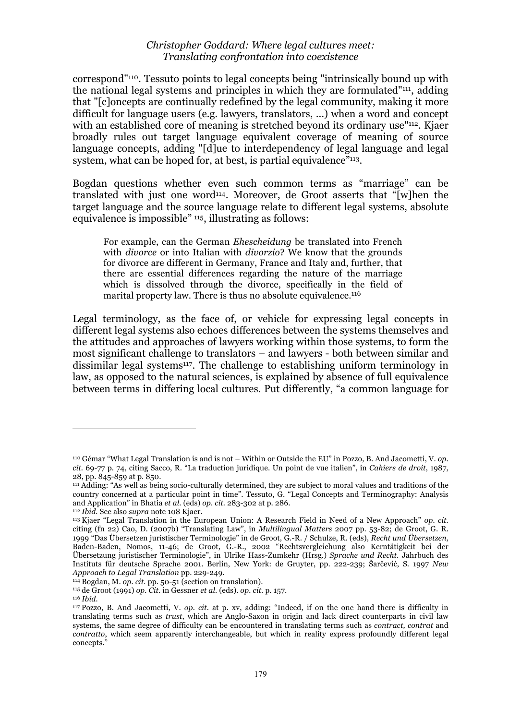correspond"110. Tessuto points to legal concepts being "intrinsically bound up with the national legal systems and principles in which they are formulated"111, adding that "[c]oncepts are continually redefined by the legal community, making it more difficult for language users (e.g. lawyers, translators, …) when a word and concept with an established core of meaning is stretched beyond its ordinary use<sup>"112</sup>. Kjaer broadly rules out target language equivalent coverage of meaning of source language concepts, adding "[d]ue to interdependency of legal language and legal system, what can be hoped for, at best, is partial equivalence"<sup>113</sup>.

Bogdan questions whether even such common terms as "marriage" can be translated with just one word114. Moreover, de Groot asserts that "[w]hen the target language and the source language relate to different legal systems, absolute equivalence is impossible" <sup>115</sup>, illustrating as follows:

For example, can the German *Ehescheidung* be translated into French with *divorce* or into Italian with *divorzio*? We know that the grounds for divorce are different in Germany, France and Italy and, further, that there are essential differences regarding the nature of the marriage which is dissolved through the divorce, specifically in the field of marital property law. There is thus no absolute equivalence.<sup>116</sup>

Legal terminology, as the face of, or vehicle for expressing legal concepts in different legal systems also echoes differences between the systems themselves and the attitudes and approaches of lawyers working within those systems, to form the most significant challenge to translators – and lawyers - both between similar and dissimilar legal systems117. The challenge to establishing uniform terminology in law, as opposed to the natural sciences, is explained by absence of full equivalence between terms in differing local cultures. Put differently, "a common language for

<sup>110</sup> Gémar "What Legal Translation is and is not – Within or Outside the EU" in Pozzo, B. And Jacometti, V. *op. cit.* 69-77 p. 74, citing Sacco, R. "La traduction juridique. Un point de vue italien", in *Cahiers de droit*, 1987,

<sup>&</sup>lt;sup>111</sup> Adding: "As well as being socio-culturally determined, they are subject to moral values and traditions of the country concerned at a particular point in time". Tessuto, G. "Legal Concepts and Terminography: Analysis and Application" in Bhatia *et al.* (eds) *op. cit.* 283-302 at p. 286.

<sup>112</sup> *Ibid.* See also *supra* note 108 Kjaer.

<sup>113</sup> Kjaer "Legal Translation in the European Union: A Research Field in Need of a New Approach" *op. cit.* citing (fn 22) Cao, D. (2007b) "Translating Law", in *Multilingual Matters* 2007 pp. 53-82; de Groot, G. R. 1999 "Das Übersetzen juristischer Terminologie" in de Groot, G.-R. / Schulze, R. (eds), *Recht und Übersetzen*, Baden-Baden, Nomos, 11-46; de Groot, G.-R., 2002 "Rechtsvergleichung also Kerntätigkeit bei der Übersetzung juristischer Terminologie", in Ulrike Hass-Zumkehr (Hrsg.) *Sprache und Recht*. Jahrbuch des Instituts für deutsche Sprache 2001. Berlin, New York: de Gruyter, pp. 222-239; Šarčević, S. 1997 *New Approach to Legal Translation* pp. 229-249.

<sup>114</sup> Bogdan, M. *op. cit.* pp. 50-51 (section on translation).

<sup>115</sup> de Groot (1991) *op. Cit.* in Gessner *et al.* (eds). *op. cit.* p. 157. 116 *Ibid.*

<sup>117</sup> Pozzo, B. And Jacometti, V. *op. cit.* at p. xv, adding: "Indeed, if on the one hand there is difficulty in translating terms such as *trust*, which are Anglo-Saxon in origin and lack direct counterparts in civil law systems, the same degree of difficulty can be encountered in translating terms such as *contract, contrat* and *contratto*, which seem apparently interchangeable, but which in reality express profoundly different legal concepts.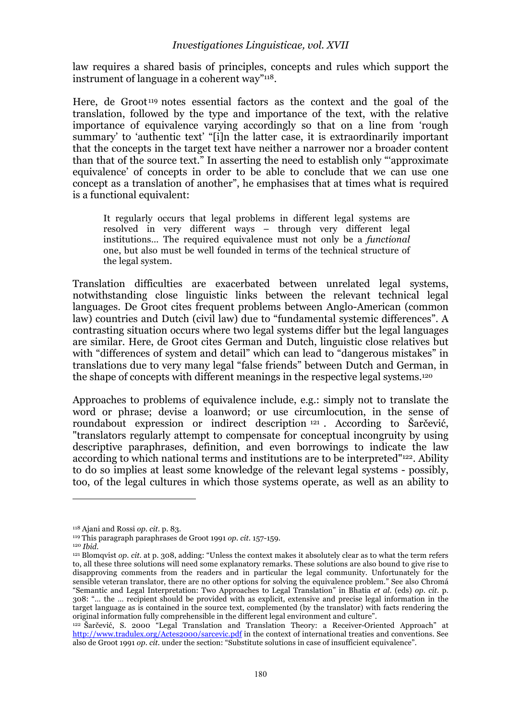#### *Investigationes Linguisticae, vol. XVII*

law requires a shared basis of principles, concepts and rules which support the instrument of language in a coherent way"118.

Here, de Groot 119 notes essential factors as the context and the goal of the translation, followed by the type and importance of the text, with the relative importance of equivalence varying accordingly so that on a line from 'rough summary' to 'authentic text' "[i]n the latter case, it is extraordinarily important that the concepts in the target text have neither a narrower nor a broader content than that of the source text." In asserting the need to establish only "'approximate equivalence' of concepts in order to be able to conclude that we can use one concept as a translation of another", he emphasises that at times what is required is a functional equivalent:

It regularly occurs that legal problems in different legal systems are resolved in very different ways – through very different legal institutions… The required equivalence must not only be a *functional* one, but also must be well founded in terms of the technical structure of the legal system.

Translation difficulties are exacerbated between unrelated legal systems, notwithstanding close linguistic links between the relevant technical legal languages. De Groot cites frequent problems between Anglo-American (common law) countries and Dutch (civil law) due to "fundamental systemic differences". A contrasting situation occurs where two legal systems differ but the legal languages are similar. Here, de Groot cites German and Dutch, linguistic close relatives but with "differences of system and detail" which can lead to "dangerous mistakes" in translations due to very many legal "false friends" between Dutch and German, in the shape of concepts with different meanings in the respective legal systems.120

Approaches to problems of equivalence include, e.g.: simply not to translate the word or phrase; devise a loanword; or use circumlocution, in the sense of roundabout expression or indirect description <sup>121</sup> . According to Šarčević, "translators regularly attempt to compensate for conceptual incongruity by using descriptive paraphrases, definition, and even borrowings to indicate the law according to which national terms and institutions are to be interpreted"122. Ability to do so implies at least some knowledge of the relevant legal systems - possibly, too, of the legal cultures in which those systems operate, as well as an ability to

<sup>118</sup> Ajani and Rossi *op. cit.* p. 83.

<sup>119</sup> This paragraph paraphrases de Groot 1991 *op. cit.* 157-159.

<sup>120</sup> *Ibid.*

<sup>121</sup> Blomqvist *op. cit.* at p. 308, adding: "Unless the context makes it absolutely clear as to what the term refers to, all these three solutions will need some explanatory remarks. These solutions are also bound to give rise to disapproving comments from the readers and in particular the legal community. Unfortunately for the sensible veteran translator, there are no other options for solving the equivalence problem." See also Chromá "Semantic and Legal Interpretation: Two Approaches to Legal Translation" in Bhatia *et al.* (eds) *op. cit.* p. 308: "… the … recipient should be provided with as explicit, extensive and precise legal information in the target language as is contained in the source text, complemented (by the translator) with facts rendering the original information fully comprehensible in the different legal environment and culture".

<sup>&</sup>lt;sup>122</sup> Šarčević, S. 2000 "Legal Translation and Translation Theory: a Receiver-Oriented Approach" at http://www.tradulex.org/Actes2000/sarcevic.pdf in the context of international treaties and conventions. See also de Groot 1991 *op. cit.* under the section: "Substitute solutions in case of insufficient equivalence".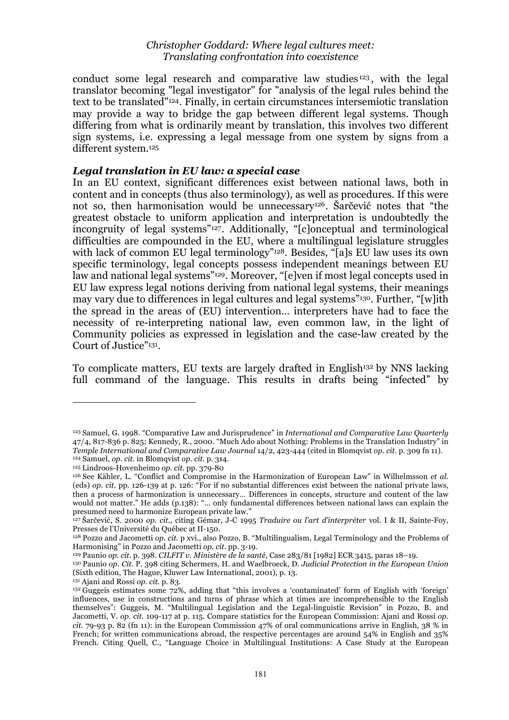conduct some legal research and comparative law studies<sup>123</sup>, with the legal translator becoming "legal investigator" for "analysis of the legal rules behind the text to be translated"124. Finally, in certain circumstances intersemiotic translation may provide a way to bridge the gap between different legal systems. Though differing from what is ordinarily meant by translation, this involves two different sign systems, i.e. expressing a legal message from one system by signs from a different system.125

#### *Legal translation in EU law: a special case*

In an EU context, significant differences exist between national laws, both in content and in concepts (thus also terminology), as well as procedures. If this were not so, then harmonisation would be unnecessary126. Šarčević notes that "the greatest obstacle to uniform application and interpretation is undoubtedly the incongruity of legal systems"127. Additionally, "[c]onceptual and terminological difficulties are compounded in the EU, where a multilingual legislature struggles with lack of common EU legal terminology"<sup>128</sup>. Besides, "[a]s EU law uses its own specific terminology, legal concepts possess independent meanings between EU law and national legal systems"<sup>129</sup>. Moreover, "[e]ven if most legal concepts used in EU law express legal notions deriving from national legal systems, their meanings may vary due to differences in legal cultures and legal systems"130. Further, "[w]ith the spread in the areas of (EU) intervention… interpreters have had to face the necessity of re-interpreting national law, even common law, in the light of Community policies as expressed in legislation and the case-law created by the Court of Justice"131.

To complicate matters, EU texts are largely drafted in English132 by NNS lacking full command of the language. This results in drafts being "infected" by

<sup>123</sup> Samuel, G. 1998. "Comparative Law and Jurisprudence" in *International and Comparative Law Quarterly* 47/4, 817-836 p. 825; Kennedy, R., 2000. "Much Ado about Nothing: Problems in the Translation Industry" in *Temple International and Comparative Law Journal* 14/2, 423-444 (cited in Blomqvist *op. cit.* p. 309 fn 11). 124 Samuel, *op. cit.* in Blomqvist *op. cit.* p. 314.

<sup>125</sup> Lindroos-Hovenheimo *op. cit.* pp. 379-80

<sup>126</sup> See Kähler, L. "Conflict and Compromise in the Harmonization of European Law" in Wilhelmsson *et al.* (eds) *op. cit.* pp. 126-139 at p. 126: "For if no substantial differences exist between the national private laws, then a process of harmonization is unnecessary… Differences in concepts, structure and content of the law would not matter." He adds (p.138): "… only fundamental differences between national laws can explain the presumed need to harmonize European private law."

<sup>127</sup> Šarčević, S. 2000 *op. cit.,* citing Gémar, J-C 1995 *Traduire ou l'art d'interpréter* vol. I & II, Sainte-Foy, Presses de l'Université du Québec at II-150.

<sup>128</sup> Pozzo and Jacometti *op. cit.* p xvi., also Pozzo, B. "Multilingualism, Legal Terminology and the Problems of Harmonising" in Pozzo and Jacometti *op. cit.* pp. 3-19.

<sup>129</sup> Paunio *op. cit.* p. 398. *CILFIT v. Ministère de la santé*, Case 283/81 [1982] ECR 3415, paras 18–19.

<sup>130</sup> Paunio *op. Cit.* P. 398 citing Schermers, H. and Waelbroeck, D. *Judicial Protection in the European Union* (Sixth edition, The Hague, Kluwer Law International, 2001), p. 13.

<sup>131</sup> Ajani and Rossi *op. cit.* p. 83.

 $^{132}$  Guggeis estimates some 72%, adding that "this involves a 'contaminated' form of English with 'foreign' influences, use in constructions and turns of phrase which at times are incomprehensible to the English themselves": Guggeis, M. "Multilingual Legislation and the Legal-linguistic Revision" in Pozzo, B. and Jacometti, V. *op. cit.* 109-117 at p. 115. Compare statistics for the European Commission: Ajani and Rossi *op. cit.* 79-93 p. 82 (fn 11): in the European Commission 47% of oral communications arrive in English, 38 % in French; for written communications abroad, the respective percentages are around 54% in English and 35% French. Citing Quell, C., "Language Choice in Multilingual Institutions: A Case Study at the European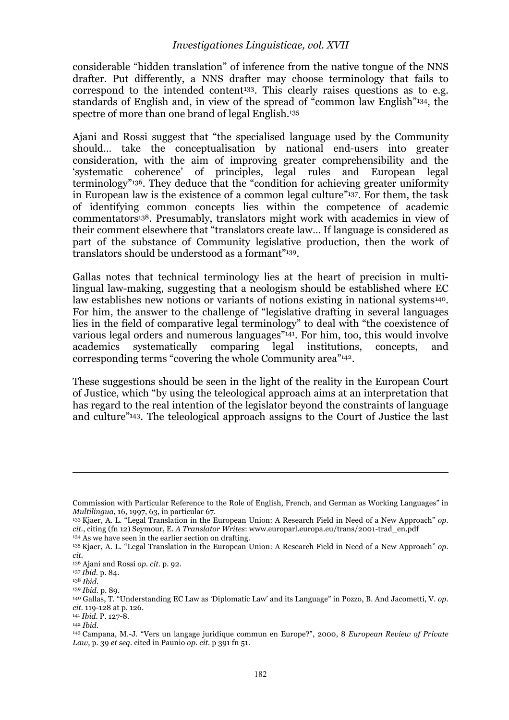considerable "hidden translation" of inference from the native tongue of the NNS drafter. Put differently, a NNS drafter may choose terminology that fails to correspond to the intended content<sup>133</sup>. This clearly raises questions as to e.g. standards of English and, in view of the spread of "common law English"134, the spectre of more than one brand of legal English.<sup>135</sup>

Ajani and Rossi suggest that "the specialised language used by the Community should… take the conceptualisation by national end-users into greater consideration, with the aim of improving greater comprehensibility and the 'systematic coherence' of principles, legal rules and European legal terminology"136. They deduce that the "condition for achieving greater uniformity in European law is the existence of a common legal culture"137. For them, the task of identifying common concepts lies within the competence of academic commentators138. Presumably, translators might work with academics in view of their comment elsewhere that "translators create law… If language is considered as part of the substance of Community legislative production, then the work of translators should be understood as a formant"139.

Gallas notes that technical terminology lies at the heart of precision in multilingual law-making, suggesting that a neologism should be established where EC law establishes new notions or variants of notions existing in national systems<sup>140</sup>. For him, the answer to the challenge of "legislative drafting in several languages lies in the field of comparative legal terminology" to deal with "the coexistence of various legal orders and numerous languages"141. For him, too, this would involve academics systematically comparing legal institutions, concepts, and corresponding terms "covering the whole Community area"142.

These suggestions should be seen in the light of the reality in the European Court of Justice, which "by using the teleological approach aims at an interpretation that has regard to the real intention of the legislator beyond the constraints of language and culture"143. The teleological approach assigns to the Court of Justice the last

Commission with Particular Reference to the Role of English, French, and German as Working Languages" in *Multilingua*, 16, 1997, 63, in particular 67.

<sup>133</sup> Kjaer, A. L. "Legal Translation in the European Union: A Research Field in Need of a New Approach" *op. cit.*, citing (fn 12) Seymour, E. *A Translator Writes*: www.europarl.europa.eu/trans/2001-trad\_en.pdf 134 As we have seen in the earlier section on drafting.

<sup>135</sup> Kjaer, A. L. "Legal Translation in the European Union: A Research Field in Need of a New Approach" *op. cit.*

<sup>136</sup> Ajani and Rossi *op. cit.* p. 92.

<sup>137</sup> *Ibid.* p. 84.

<sup>138</sup> *Ibid.*

<sup>139</sup> *Ibid.* p. 89.

<sup>140</sup> Gallas, T. "Understanding EC Law as 'Diplomatic Law' and its Language" in Pozzo, B. And Jacometti, V. *op. cit.* 119-128 at p. 126. 141 *Ibid.* P. 127-8.

<sup>142</sup> *Ibid.*

<sup>143</sup> Campana, M.-J. "Vers un langage juridique commun en Europe?", 2000, 8 *European Review of Private Law*, p. 39 *et seq.* cited in Paunio *op. cit.* p 391 fn 51.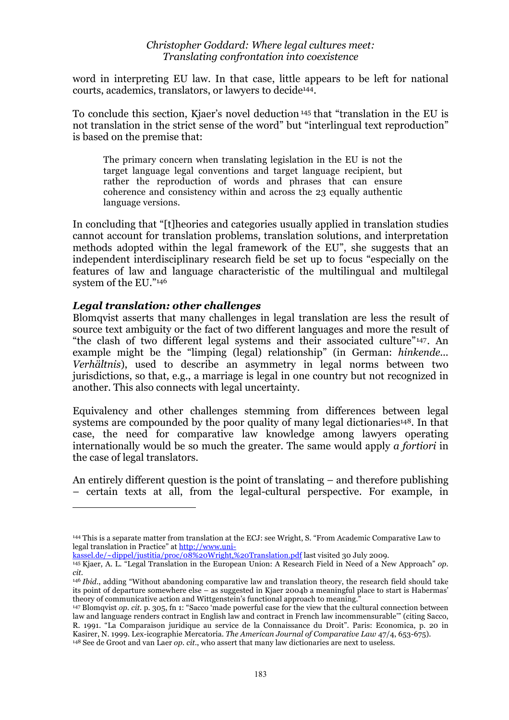word in interpreting EU law. In that case, little appears to be left for national courts, academics, translators, or lawyers to decide144.

To conclude this section, Kjaer's novel deduction 145 that "translation in the EU is not translation in the strict sense of the word" but "interlingual text reproduction" is based on the premise that:

The primary concern when translating legislation in the EU is not the target language legal conventions and target language recipient, but rather the reproduction of words and phrases that can ensure coherence and consistency within and across the 23 equally authentic language versions.

In concluding that "[t]heories and categories usually applied in translation studies cannot account for translation problems, translation solutions, and interpretation methods adopted within the legal framework of the EU", she suggests that an independent interdisciplinary research field be set up to focus "especially on the features of law and language characteristic of the multilingual and multilegal system of the EU."146

#### *Legal translation: other challenges*

 $\overline{a}$ 

Blomqvist asserts that many challenges in legal translation are less the result of source text ambiguity or the fact of two different languages and more the result of "the clash of two different legal systems and their associated culture"147. An example might be the "limping (legal) relationship" (in German: *hinkende... Verhältnis*), used to describe an asymmetry in legal norms between two jurisdictions, so that, e.g., a marriage is legal in one country but not recognized in another. This also connects with legal uncertainty.

Equivalency and other challenges stemming from differences between legal systems are compounded by the poor quality of many legal dictionaries<sup>148</sup>. In that case, the need for comparative law knowledge among lawyers operating internationally would be so much the greater. The same would apply *a fortiori* in the case of legal translators.

An entirely different question is the point of translating – and therefore publishing – certain texts at all, from the legal-cultural perspective. For example, in

kassel.de/~dippel/justitia/proc/08%20Wright,%20Translation.pdf last visited 30 July 2009.

<sup>144</sup> This is a separate matter from translation at the ECJ: see Wright, S. "From Academic Comparative Law to legal translation in Practice" at http://www.uni-

<sup>145</sup> Kjaer, A. L. "Legal Translation in the European Union: A Research Field in Need of a New Approach" *op. cit.*

<sup>146</sup> *Ibid.*, adding "Without abandoning comparative law and translation theory, the research field should take its point of departure somewhere else – as suggested in Kjaer 2004b a meaningful place to start is Habermas' theory of communicative action and Wittgenstein's functional approach to meaning."

<sup>147</sup> Blomqvist *op. cit.* p. 305, fn 1: "Sacco 'made powerful case for the view that the cultural connection between law and language renders contract in English law and contract in French law incommensurable'" (citing Sacco, R. 1991. "La Comparaison juridique au service de la Connaissance du Droit". Paris: Economica, p. 20 in Kasirer, N. 1999. Lex-icographie Mercatoria. *The American Journal of Comparative Law* 47/4, 653-675).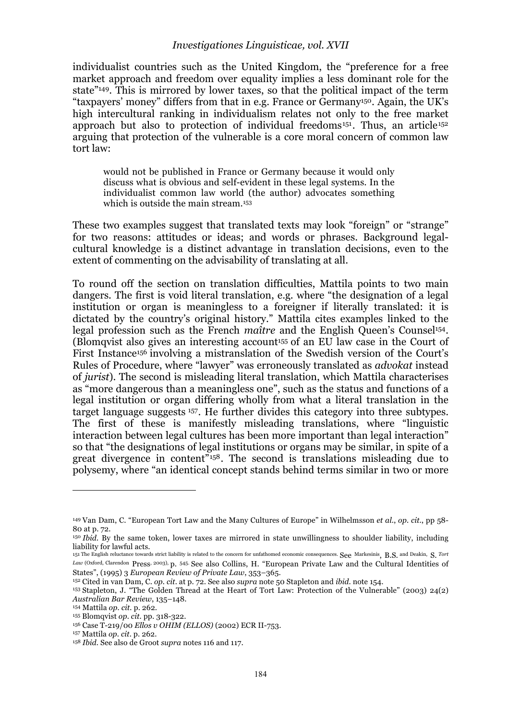#### *Investigationes Linguisticae, vol. XVII*

individualist countries such as the United Kingdom, the "preference for a free market approach and freedom over equality implies a less dominant role for the state"149. This is mirrored by lower taxes, so that the political impact of the term "taxpayers' money" differs from that in e.g. France or Germany150. Again, the UK's high intercultural ranking in individualism relates not only to the free market approach but also to protection of individual freedoms<sup>151</sup>. Thus, an article<sup>152</sup> arguing that protection of the vulnerable is a core moral concern of common law tort law:

would not be published in France or Germany because it would only discuss what is obvious and self-evident in these legal systems. In the individualist common law world (the author) advocates something which is outside the main stream.<sup>153</sup>

These two examples suggest that translated texts may look "foreign" or "strange" for two reasons: attitudes or ideas; and words or phrases. Background legalcultural knowledge is a distinct advantage in translation decisions, even to the extent of commenting on the advisability of translating at all.

To round off the section on translation difficulties, Mattila points to two main dangers. The first is void literal translation, e.g. where "the designation of a legal institution or organ is meaningless to a foreigner if literally translated: it is dictated by the country's original history." Mattila cites examples linked to the legal profession such as the French *maître* and the English Queen's Counsel<sup>154</sup>. (Blomqvist also gives an interesting account155 of an EU law case in the Court of First Instance156 involving a mistranslation of the Swedish version of the Court's Rules of Procedure, where "lawyer" was erroneously translated as *advokat* instead of *jurist*). The second is misleading literal translation, which Mattila characterises as "more dangerous than a meaningless one", such as the status and functions of a legal institution or organ differing wholly from what a literal translation in the target language suggests 157. He further divides this category into three subtypes. The first of these is manifestly misleading translations, where "linguistic interaction between legal cultures has been more important than legal interaction" so that "the designations of legal institutions or organs may be similar, in spite of a great divergence in content"158. The second is translations misleading due to polysemy, where "an identical concept stands behind terms similar in two or more

<sup>149</sup> Van Dam, C. "European Tort Law and the Many Cultures of Europe" in Wilhelmsson *et al.*, *op. cit.*, pp 58- 80 at p. 72.

<sup>150</sup> *Ibid.* By the same token, lower taxes are mirrored in state unwillingness to shoulder liability, including liability for lawful acts.

<sup>151</sup> The English reluctance towards strict liability is related to the concern for unfathomed economic consequences. See Markesinis, B.S. and Deakin, S. *Tort Law* (Oxford, Clarendon Press, 2003), p. 545. See also Collins, H. "European Private Law and the Cultural Identities of States", (1995) 3 *European Review of Private Law*, 353–365.

<sup>152</sup> Cited in van Dam, C. *op. cit.* at p. 72. See also *supra* note 50 Stapleton and *ibid.* note 154.

<sup>153</sup> Stapleton, J. "The Golden Thread at the Heart of Tort Law: Protection of the Vulnerable" (2003) 24(2) *Australian Bar Review*, 135–148.

<sup>154</sup> Mattila *op. cit.* p. 262.

<sup>155</sup> Blomqvist *op. cit.* pp. 318-322.

<sup>156</sup> Case T-219/00 *Ellos v OHIM (ELLOS)* (2002) ECR II-753.

<sup>157</sup> Mattila *op. cit.* p. 262.

<sup>158</sup> *Ibid.* See also de Groot *supra* notes 116 and 117.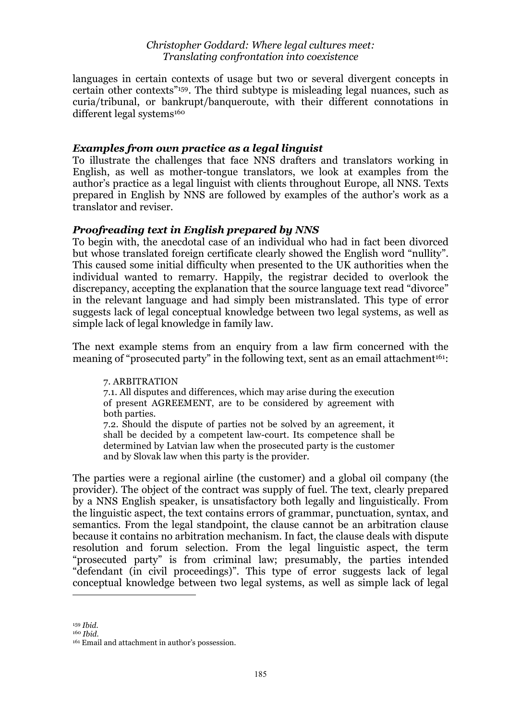languages in certain contexts of usage but two or several divergent concepts in certain other contexts"159. The third subtype is misleading legal nuances, such as curia/tribunal, or bankrupt/banqueroute, with their different connotations in different legal systems<sup>160</sup>

#### *Examples from own practice as a legal linguist*

To illustrate the challenges that face NNS drafters and translators working in English, as well as mother-tongue translators, we look at examples from the author's practice as a legal linguist with clients throughout Europe, all NNS. Texts prepared in English by NNS are followed by examples of the author's work as a translator and reviser.

#### *Proofreading text in English prepared by NNS*

To begin with, the anecdotal case of an individual who had in fact been divorced but whose translated foreign certificate clearly showed the English word "nullity". This caused some initial difficulty when presented to the UK authorities when the individual wanted to remarry. Happily, the registrar decided to overlook the discrepancy, accepting the explanation that the source language text read "divorce" in the relevant language and had simply been mistranslated. This type of error suggests lack of legal conceptual knowledge between two legal systems, as well as simple lack of legal knowledge in family law.

The next example stems from an enquiry from a law firm concerned with the meaning of "prosecuted party" in the following text, sent as an email attachment<sup>161</sup>:

7. ARBITRATION 7.1. All disputes and differences, which may arise during the execution of present AGREEMENT, are to be considered by agreement with both parties.

7.2. Should the dispute of parties not be solved by an agreement, it shall be decided by a competent law-court. Its competence shall be determined by Latvian law when the prosecuted party is the customer and by Slovak law when this party is the provider.

The parties were a regional airline (the customer) and a global oil company (the provider). The object of the contract was supply of fuel. The text, clearly prepared by a NNS English speaker, is unsatisfactory both legally and linguistically. From the linguistic aspect, the text contains errors of grammar, punctuation, syntax, and semantics. From the legal standpoint, the clause cannot be an arbitration clause because it contains no arbitration mechanism. In fact, the clause deals with dispute resolution and forum selection. From the legal linguistic aspect, the term "prosecuted party" is from criminal law; presumably, the parties intended "defendant (in civil proceedings)". This type of error suggests lack of legal conceptual knowledge between two legal systems, as well as simple lack of legal

<sup>159</sup> *Ibid.*

<sup>160</sup> *Ibid.*

<sup>161</sup> Email and attachment in author's possession.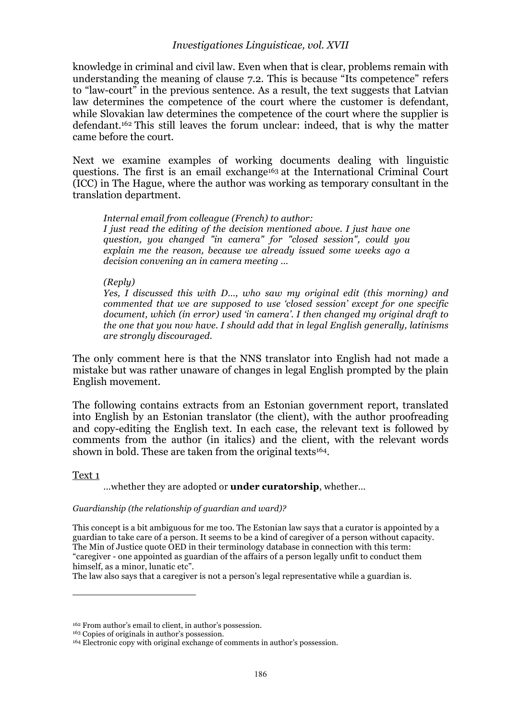knowledge in criminal and civil law. Even when that is clear, problems remain with understanding the meaning of clause 7.2. This is because "Its competence" refers to "law-court" in the previous sentence. As a result, the text suggests that Latvian law determines the competence of the court where the customer is defendant, while Slovakian law determines the competence of the court where the supplier is defendant.162 This still leaves the forum unclear: indeed, that is why the matter came before the court.

Next we examine examples of working documents dealing with linguistic questions. The first is an email exchange<sup>163</sup> at the International Criminal Court (ICC) in The Hague, where the author was working as temporary consultant in the translation department.

*Internal email from colleague (French) to author: I just read the editing of the decision mentioned above. I just have one question, you changed "in camera" for "closed session", could you explain me the reason, because we already issued some weeks ago a decision convening an in camera meeting …*

#### *(Reply)*

*Yes, I discussed this with D…, who saw my original edit (this morning) and commented that we are supposed to use 'closed session' except for one specific document, which (in error) used 'in camera'. I then changed my original draft to the one that you now have. I should add that in legal English generally, latinisms are strongly discouraged.*

The only comment here is that the NNS translator into English had not made a mistake but was rather unaware of changes in legal English prompted by the plain English movement.

The following contains extracts from an Estonian government report, translated into English by an Estonian translator (the client), with the author proofreading and copy-editing the English text. In each case, the relevant text is followed by comments from the author (in italics) and the client, with the relevant words shown in bold. These are taken from the original texts<sup>164</sup>.

#### Text 1

 $\overline{a}$ 

…whether they are adopted or **under curatorship**, whether…

#### *Guardianship (the relationship of guardian and ward)?*

This concept is a bit ambiguous for me too. The Estonian law says that a curator is appointed by a guardian to take care of a person. It seems to be a kind of caregiver of a person without capacity. The Min of Justice quote  $\overline{OED}$  in their terminology database in connection with this term: "caregiver - one appointed as guardian of the affairs of a person legally unfit to conduct them himself, as a minor, lunatic etc".

The law also says that a caregiver is not a person's legal representative while a guardian is.

<sup>162</sup> From author's email to client, in author's possession.

<sup>163</sup> Copies of originals in author's possession.

<sup>164</sup> Electronic copy with original exchange of comments in author's possession.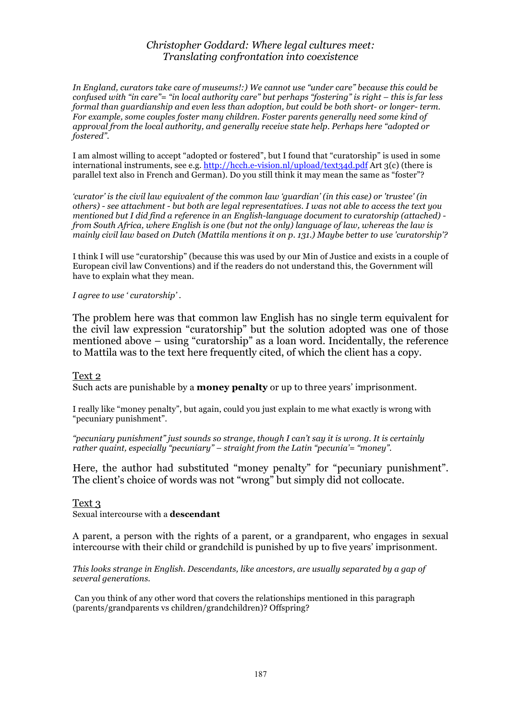*In England, curators take care of museums!:) We cannot use "under care" because this could be confused with "in care"= "in local authority care" but perhaps "fostering" is right – this is far less formal than guardianship and even less than adoption, but could be both short- or longer- term. For example, some couples foster many children. Foster parents generally need some kind of approval from the local authority, and generally receive state help. Perhaps here "adopted or fostered".*

I am almost willing to accept "adopted or fostered", but I found that "curatorship" is used in some international instruments, see e.g. http://hcch.e-vision.nl/upload/text34d.pdf Art 3(c) (there is parallel text also in French and German). Do you still think it may mean the same as "foster"?

*'curator' is the civil law equivalent of the common law 'guardian' (in this case) or 'trustee' (in others) - see attachment - but both are legal representatives. I was not able to access the text you mentioned but I did find a reference in an English-language document to curatorship (attached) from South Africa, where English is one (but not the only) language of law, whereas the law is mainly civil law based on Dutch (Mattila mentions it on p. 131.) Maybe better to use 'curatorship'?* 

I think I will use "curatorship" (because this was used by our Min of Justice and exists in a couple of European civil law Conventions) and if the readers do not understand this, the Government will have to explain what they mean.

*I agree to use ' curatorship' .*

The problem here was that common law English has no single term equivalent for the civil law expression "curatorship" but the solution adopted was one of those mentioned above – using "curatorship" as a loan word. Incidentally, the reference to Mattila was to the text here frequently cited, of which the client has a copy.

#### Text 2

Such acts are punishable by a **money penalty** or up to three years' imprisonment.

I really like "money penalty", but again, could you just explain to me what exactly is wrong with "pecuniary punishment".

*"pecuniary punishment" just sounds so strange, though I can't say it is wrong. It is certainly rather quaint, especially "pecuniary" – straight from the Latin "pecunia'= "money".*

Here, the author had substituted "money penalty" for "pecuniary punishment". The client's choice of words was not "wrong" but simply did not collocate.

#### Text 3

Sexual intercourse with a **descendant**

A parent, a person with the rights of a parent, or a grandparent, who engages in sexual intercourse with their child or grandchild is punished by up to five years' imprisonment.

*This looks strange in English. Descendants, like ancestors, are usually separated by a gap of several generations.*

 Can you think of any other word that covers the relationships mentioned in this paragraph (parents/grandparents vs children/grandchildren)? Offspring?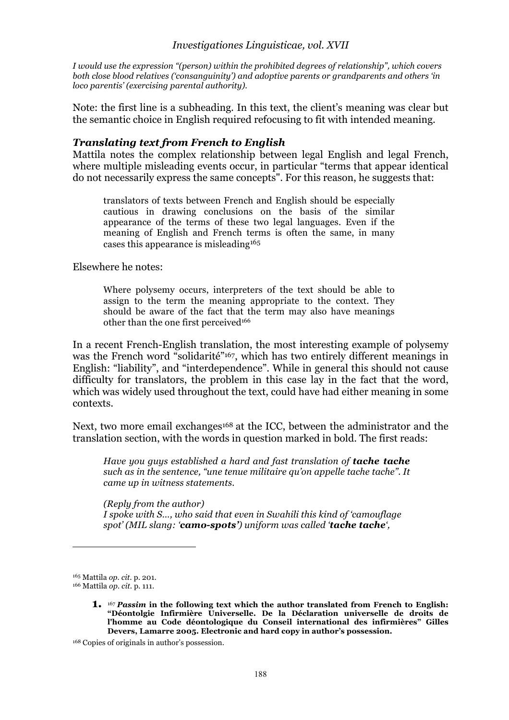*I would use the expression "(person) within the prohibited degrees of relationship", which covers both close blood relatives ('consanguinity') and adoptive parents or grandparents and others 'in loco parentis' (exercising parental authority).* 

Note: the first line is a subheading. In this text, the client's meaning was clear but the semantic choice in English required refocusing to fit with intended meaning.

#### *Translating text from French to English*

Mattila notes the complex relationship between legal English and legal French, where multiple misleading events occur, in particular "terms that appear identical do not necessarily express the same concepts". For this reason, he suggests that:

translators of texts between French and English should be especially cautious in drawing conclusions on the basis of the similar appearance of the terms of these two legal languages. Even if the meaning of English and French terms is often the same, in many cases this appearance is misleading165

Elsewhere he notes:

Where polysemy occurs, interpreters of the text should be able to assign to the term the meaning appropriate to the context. They should be aware of the fact that the term may also have meanings other than the one first perceived<sup>166</sup>

In a recent French-English translation, the most interesting example of polysemy was the French word "solidarité"<sup>167</sup>, which has two entirely different meanings in English: "liability", and "interdependence". While in general this should not cause difficulty for translators, the problem in this case lay in the fact that the word, which was widely used throughout the text, could have had either meaning in some contexts.

Next, two more email exchanges<sup>168</sup> at the ICC, between the administrator and the translation section, with the words in question marked in bold. The first reads:

*Have you guys established a hard and fast translation of tache tache such as in the sentence, "une tenue militaire qu'on appelle tache tache". It came up in witness statements.*

*(Reply from the author) I spoke with S…, who said that even in Swahili this kind of 'camouflage spot' (MIL slang: 'camo-spots') uniform was called 'tache tache',* 

<sup>165</sup> Mattila *op. cit*. p. 201.

<sup>166</sup> Mattila *op. cit.* p. 111.

**<sup>1.</sup>** <sup>167</sup> *Passim* **in the following text which the author translated from French to English: "Déontolgie Infirmière Universelle. De la Déclaration universelle de droits de l'homme au Code déontologique du Conseil international des infirmières" Gilles Devers, Lamarre 2005. Electronic and hard copy in author's possession.**

<sup>168</sup> Copies of originals in author's possession.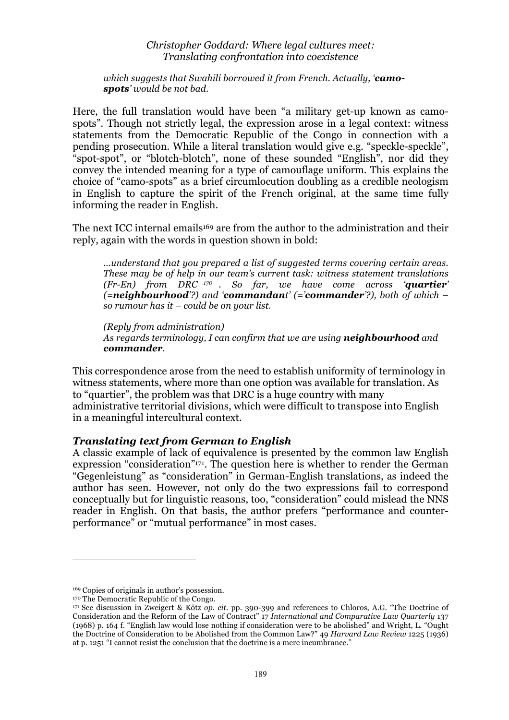*which suggests that Swahili borrowed it from French. Actually, 'camospots' would be not bad.*

Here, the full translation would have been "a military get-up known as camospots". Though not strictly legal, the expression arose in a legal context: witness statements from the Democratic Republic of the Congo in connection with a pending prosecution. While a literal translation would give e.g. "speckle-speckle", "spot-spot", or "blotch-blotch", none of these sounded "English", nor did they convey the intended meaning for a type of camouflage uniform. This explains the choice of "camo-spots" as a brief circumlocution doubling as a credible neologism in English to capture the spirit of the French original, at the same time fully informing the reader in English.

The next ICC internal emails<sup>169</sup> are from the author to the administration and their reply, again with the words in question shown in bold:

*…understand that you prepared a list of suggested terms covering certain areas. These may be of help in our team's current task: witness statement translations (Fr-En) from DRC <sup>170</sup> . So far, we have come across 'quartier' (=neighbourhood'?) and 'commandant' (='commander'?), both of which – so rumour has it – could be on your list.*

*(Reply from administration) As regards terminology, I can confirm that we are using neighbourhood and commander.*

This correspondence arose from the need to establish uniformity of terminology in witness statements, where more than one option was available for translation. As to "quartier", the problem was that DRC is a huge country with many administrative territorial divisions, which were difficult to transpose into English in a meaningful intercultural context.

#### *Translating text from German to English*

A classic example of lack of equivalence is presented by the common law English expression "consideration"171. The question here is whether to render the German "Gegenleistung" as "consideration" in German-English translations, as indeed the author has seen. However, not only do the two expressions fail to correspond conceptually but for linguistic reasons, too, "consideration" could mislead the NNS reader in English. On that basis, the author prefers "performance and counterperformance" or "mutual performance" in most cases.

<sup>169</sup> Copies of originals in author's possession.

<sup>170</sup> The Democratic Republic of the Congo.

<sup>171</sup> See discussion in Zweigert & Kötz *op. cit.* pp. 390-399 and references to Chloros, A.G. "The Doctrine of Consideration and the Reform of the Law of Contract" 17 *International and Comparative Law Quarterly* 137 (1968) p. 164 f. "English law would lose nothing if consideration were to be abolished" and Wright, L. "Ought the Doctrine of Consideration to be Abolished from the Common Law?" 49 *Harvard Law Review* 1225 (1936) at p. 1251 "I cannot resist the conclusion that the doctrine is a mere incumbrance."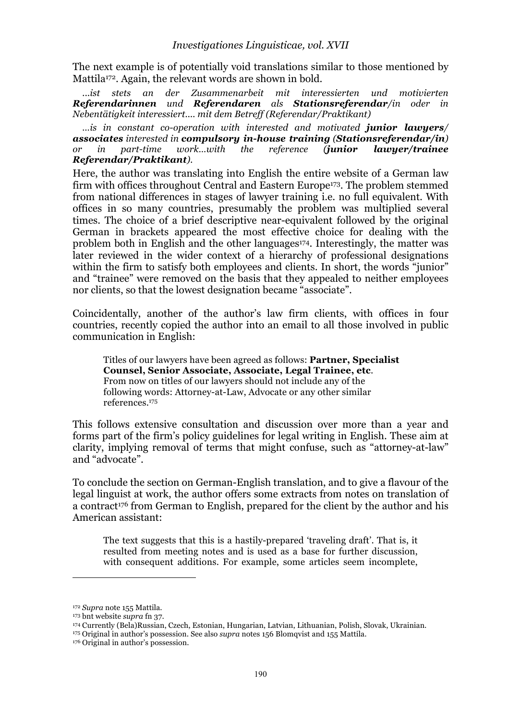The next example is of potentially void translations similar to those mentioned by Mattila<sup>172</sup>. Again, the relevant words are shown in bold.

*...ist stets an der Zusammenarbeit mit interessierten und motivierten Referendarinnen und Referendaren als Stationsreferendar/in oder in Nebentätigkeit interessiert.... mit dem Betreff (Referendar/Praktikant)*

*…is in constant co-operation with interested and motivated junior lawyers/ associates interested in compulsory in-house training (Stationsreferendar/in) or in part-time work…with the reference (junior lawyer/trainee Referendar/Praktikant).*

Here, the author was translating into English the entire website of a German law firm with offices throughout Central and Eastern Europe<sup>173</sup>. The problem stemmed from national differences in stages of lawyer training i.e. no full equivalent. With offices in so many countries, presumably the problem was multiplied several times. The choice of a brief descriptive near-equivalent followed by the original German in brackets appeared the most effective choice for dealing with the problem both in English and the other languages<sup>174</sup>. Interestingly, the matter was later reviewed in the wider context of a hierarchy of professional designations within the firm to satisfy both employees and clients. In short, the words "junior" and "trainee" were removed on the basis that they appealed to neither employees nor clients, so that the lowest designation became "associate".

Coincidentally, another of the author's law firm clients, with offices in four countries, recently copied the author into an email to all those involved in public communication in English:

Titles of our lawyers have been agreed as follows: **Partner, Specialist Counsel, Senior Associate, Associate, Legal Trainee, etc**. From now on titles of our lawyers should not include any of the following words: Attorney-at-Law, Advocate or any other similar references.175

This follows extensive consultation and discussion over more than a year and forms part of the firm's policy guidelines for legal writing in English. These aim at clarity, implying removal of terms that might confuse, such as "attorney-at-law" and "advocate".

To conclude the section on German-English translation, and to give a flavour of the legal linguist at work, the author offers some extracts from notes on translation of a contract<sup>176</sup> from German to English, prepared for the client by the author and his American assistant:

The text suggests that this is a hastily-prepared 'traveling draft'. That is, it resulted from meeting notes and is used as a base for further discussion, with consequent additions. For example, some articles seem incomplete,

<sup>172</sup> *Supra* note 155 Mattila.

<sup>173</sup> bnt website *supra* fn 37.

<sup>174</sup> Currently (Bela)Russian, Czech, Estonian, Hungarian, Latvian, Lithuanian, Polish, Slovak, Ukrainian.

<sup>175</sup> Original in author's possession. See also *supra* notes 156 Blomqvist and 155 Mattila.

<sup>176</sup> Original in author's possession.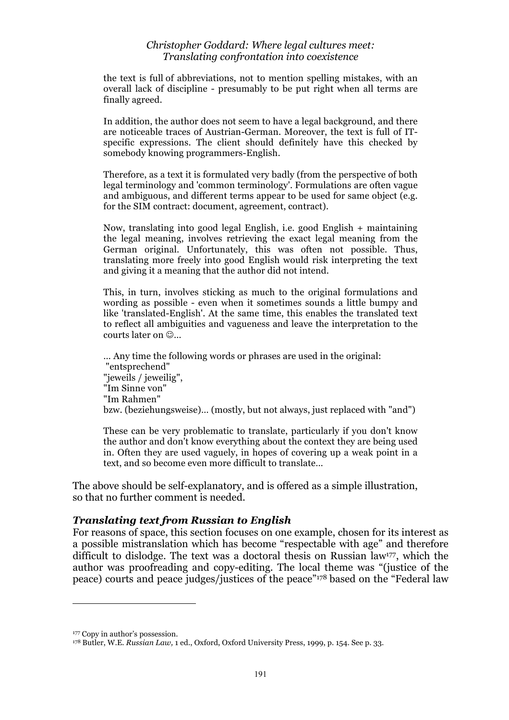the text is full of abbreviations, not to mention spelling mistakes, with an overall lack of discipline - presumably to be put right when all terms are finally agreed.

In addition, the author does not seem to have a legal background, and there are noticeable traces of Austrian-German. Moreover, the text is full of ITspecific expressions. The client should definitely have this checked by somebody knowing programmers-English.

Therefore, as a text it is formulated very badly (from the perspective of both legal terminology and 'common terminology'. Formulations are often vague and ambiguous, and different terms appear to be used for same object (e.g. for the SIM contract: document, agreement, contract).

Now, translating into good legal English, i.e. good English + maintaining the legal meaning, involves retrieving the exact legal meaning from the German original. Unfortunately, this was often not possible. Thus, translating more freely into good English would risk interpreting the text and giving it a meaning that the author did not intend.

This, in turn, involves sticking as much to the original formulations and wording as possible - even when it sometimes sounds a little bumpy and like 'translated-English'. At the same time, this enables the translated text to reflect all ambiguities and vagueness and leave the interpretation to the courts later on  $\odot$ ...

… Any time the following words or phrases are used in the original: "entsprechend" "jeweils / jeweilig", "Im Sinne von" "Im Rahmen" bzw. (beziehungsweise)… (mostly, but not always, just replaced with "and")

These can be very problematic to translate, particularly if you don't know the author and don't know everything about the context they are being used in. Often they are used vaguely, in hopes of covering up a weak point in a text, and so become even more difficult to translate…

The above should be self-explanatory, and is offered as a simple illustration, so that no further comment is needed.

#### *Translating text from Russian to English*

For reasons of space, this section focuses on one example, chosen for its interest as a possible mistranslation which has become "respectable with age" and therefore difficult to dislodge. The text was a doctoral thesis on Russian law177, which the author was proofreading and copy-editing. The local theme was "(justice of the peace) courts and peace judges/justices of the peace"178 based on the "Federal law

<sup>177</sup> Copy in author's possession.

<sup>178</sup> Butler, W.E. *Russian Law,* 1 ed., Oxford, Oxford University Press, 1999, p. 154. See p. 33.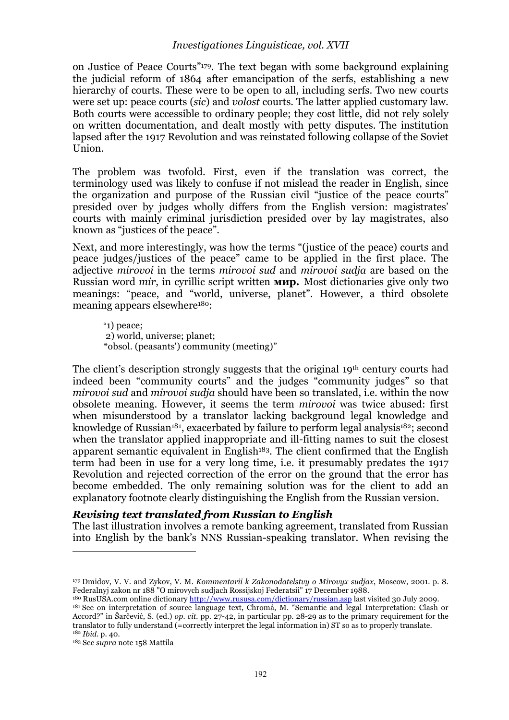#### *Investigationes Linguisticae, vol. XVII*

on Justice of Peace Courts"179. The text began with some background explaining the judicial reform of 1864 after emancipation of the serfs, establishing a new hierarchy of courts. These were to be open to all, including serfs. Two new courts were set up: peace courts (*sic*) and *volost* courts. The latter applied customary law. Both courts were accessible to ordinary people; they cost little, did not rely solely on written documentation, and dealt mostly with petty disputes. The institution lapsed after the 1917 Revolution and was reinstated following collapse of the Soviet Union.

The problem was twofold. First, even if the translation was correct, the terminology used was likely to confuse if not mislead the reader in English, since the organization and purpose of the Russian civil "justice of the peace courts" presided over by judges wholly differs from the English version: magistrates' courts with mainly criminal jurisdiction presided over by lay magistrates, also known as "justices of the peace".

Next, and more interestingly, was how the terms "(justice of the peace) courts and peace judges/justices of the peace" came to be applied in the first place. The adjective *mirovoi* in the terms *mirovoi sud* and *mirovoi sudja* are based on the Russian word *mir*, in cyrillic script written **мир.** Most dictionaries give only two meanings: "peace, and "world, universe, planet". However, a third obsolete meaning appears elsewhere180:

"1) peace; 2) world, universe; planet; \*obsol. (peasants') community (meeting)"

The client's description strongly suggests that the original 19th century courts had indeed been "community courts" and the judges "community judges" so that *mirovoi sud* and *mirovoi sudja* should have been so translated, i.e. within the now obsolete meaning. However, it seems the term *mirovoi* was twice abused: first when misunderstood by a translator lacking background legal knowledge and knowledge of Russian<sup>181</sup>, exacerbated by failure to perform legal analysis<sup>182</sup>; second when the translator applied inappropriate and ill-fitting names to suit the closest apparent semantic equivalent in English<sup>183</sup>. The client confirmed that the English term had been in use for a very long time, i.e. it presumably predates the 1917 Revolution and rejected correction of the error on the ground that the error has become embedded. The only remaining solution was for the client to add an explanatory footnote clearly distinguishing the English from the Russian version.

## *Revising text translated from Russian to English*

The last illustration involves a remote banking agreement, translated from Russian into English by the bank's NNS Russian-speaking translator. When revising the

l

<sup>179</sup> Dmidov, V. V. and Zykov, V. M. *Kommentarii k Zakonodatelstvy o Mirovyx sudjax*, Moscow, 2001. p. 8. Federalnyj zakon nr 188 "O mirovych sudjach Rossijskoj Federatsii" 17 December 1988.

<sup>&</sup>lt;sup>180</sup> RusUSA.com online dictionary http://www.rususa.com/dictionary/russian.asp last visited 30 July 2009. 181 See on interpretation of source language text, Chromá, M. "Semantic and legal Interpretation: Clash or Accord?" in Šarčević, S. (ed.) *op. cit.* pp. 27-42, in particular pp. 28-29 as to the primary requirement for the translator to fully understand (=correctly interpret the legal information in) ST so as to properly translate. <sup>182</sup> *Ibid.* p. 40.

<sup>183</sup> See *supra* note 158 Mattila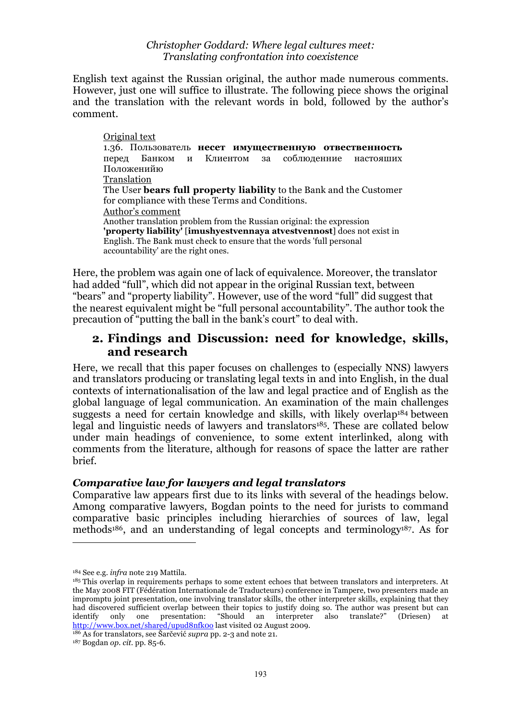English text against the Russian original, the author made numerous comments. However, just one will suffice to illustrate. The following piece shows the original and the translation with the relevant words in bold, followed by the author's comment.

Original text 1.36. Пользователь **несет имущественную отвественность** перед Банком и Клиентом за соблюденние настояших Положенийю Translation The User **bears full property liability** to the Bank and the Customer for compliance with these Terms and Conditions. Author's comment Another translation problem from the Russian original: the expression **'property liability'** [**imushyestvennaya atvestvennost**] does not exist in English. The Bank must check to ensure that the words 'full personal accountability' are the right ones.

Here, the problem was again one of lack of equivalence. Moreover, the translator had added "full", which did not appear in the original Russian text, between "bears" and "property liability". However, use of the word "full" did suggest that the nearest equivalent might be "full personal accountability". The author took the precaution of "putting the ball in the bank's court" to deal with.

# **2. Findings and Discussion: need for knowledge, skills, and research**

Here, we recall that this paper focuses on challenges to (especially NNS) lawyers and translators producing or translating legal texts in and into English, in the dual contexts of internationalisation of the law and legal practice and of English as the global language of legal communication. An examination of the main challenges suggests a need for certain knowledge and skills, with likely overlap<sup>184</sup> between legal and linguistic needs of lawyers and translators<sup>185</sup>. These are collated below under main headings of convenience, to some extent interlinked, along with comments from the literature, although for reasons of space the latter are rather brief.

## *Comparative law for lawyers and legal translators*

Comparative law appears first due to its links with several of the headings below. Among comparative lawyers, Bogdan points to the need for jurists to command comparative basic principles including hierarchies of sources of law, legal methods186, and an understanding of legal concepts and terminology187. As for

 $\overline{a}$ 

186 As for translators, see Šarčević *supra* pp. 2-3 and note 21.

<sup>184</sup> See e.g. *infra* note 219 Mattila.

<sup>&</sup>lt;sup>185</sup> This overlap in requirements perhaps to some extent echoes that between translators and interpreters. At the May 2008 FIT (Fédération Internationale de Traducteurs) conference in Tampere, two presenters made an impromptu joint presentation, one involving translator skills, the other interpreter skills, explaining that they had discovered sufficient overlap between their topics to justify doing so. The author was present but can identify only one presentation: "Should an interpreter also translate?" (Driesen) at http://www.box.net/shared/upud8nfk0o last visited 02 August 2009.

<sup>187</sup> Bogdan *op. cit.* pp. 85-6.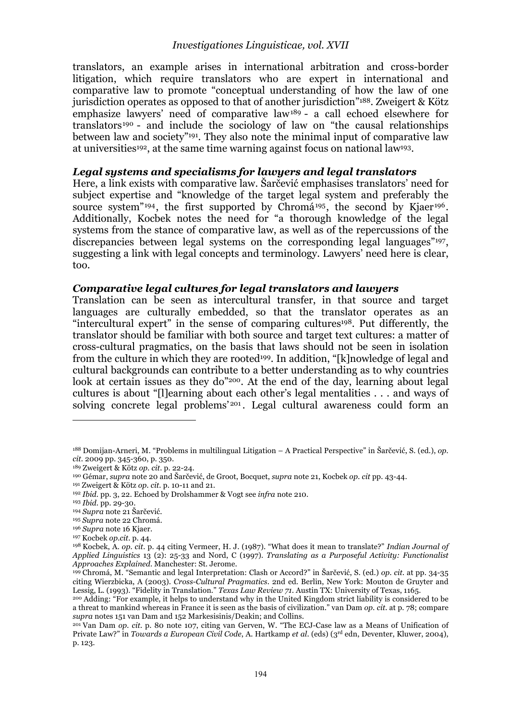translators, an example arises in international arbitration and cross-border litigation, which require translators who are expert in international and comparative law to promote "conceptual understanding of how the law of one jurisdiction operates as opposed to that of another jurisdiction"188. Zweigert & Kötz emphasize lawyers' need of comparative law189 - a call echoed elsewhere for translators<sup>190</sup> - and include the sociology of law on "the causal relationships between law and society"<sup>191</sup>. They also note the minimal input of comparative law at universities192, at the same time warning against focus on national law193.

#### *Legal systems and specialisms for lawyers and legal translators*

Here, a link exists with comparative law. Šarčević emphasises translators' need for subject expertise and "knowledge of the target legal system and preferably the source system"<sup>194</sup>, the first supported by Chromá<sup>195</sup>, the second by Kjaer<sup>196</sup>. Additionally, Kocbek notes the need for "a thorough knowledge of the legal systems from the stance of comparative law, as well as of the repercussions of the discrepancies between legal systems on the corresponding legal languages"197, suggesting a link with legal concepts and terminology. Lawyers' need here is clear, too.

#### *Comparative legal cultures for legal translators and lawyers*

Translation can be seen as intercultural transfer, in that source and target languages are culturally embedded, so that the translator operates as an "intercultural expert" in the sense of comparing cultures<sup>198</sup>. Put differently, the translator should be familiar with both source and target text cultures: a matter of cross-cultural pragmatics, on the basis that laws should not be seen in isolation from the culture in which they are rooted<sup>199</sup>. In addition, "[k]nowledge of legal and cultural backgrounds can contribute to a better understanding as to why countries look at certain issues as they do"200. At the end of the day, learning about legal cultures is about "[l]earning about each other's legal mentalities . . . and ways of solving concrete legal problems<sup>'201</sup>. Legal cultural awareness could form an

<sup>188</sup> Domijan-Arneri, M. "Problems in multilingual Litigation – A Practical Perspective" in Šarčević, S. (ed.), *op. cit.* 2009 pp. 345-360, p. 350.

<sup>189</sup> Zweigert & Kötz *op. cit.* p. 22-24.

<sup>190</sup> Gémar, *supra* note 20 and Šarčević, de Groot, Bocquet, *supra* note 21, Kocbek *op. cit* pp. 43-44.

<sup>191</sup> Zweigert & Kötz *op. cit.* p. 10-11 and 21.

<sup>192</sup> *Ibid.* pp. 3, 22. Echoed by Drolshammer & Vogt see *infra* note 210.

<sup>193</sup> *Ibid.* pp. 29-30.

<sup>194</sup> *Supra* note 21 Šarčević.

<sup>195</sup> *Supra* note 22 Chromá.

<sup>196</sup> *Supra* note 16 Kjaer.

<sup>197</sup> Kocbek *op.cit.* p. 44.

<sup>198</sup> Kocbek, A. *op. cit.* p. 44 citing Vermeer, H. J. (1987). "What does it mean to translate?" *Indian Journal of Applied Linguistics* 13 (2): 25-33 and Nord, C (1997). *Translating as a Purposeful Activity: Functionalist Approaches Explained*. Manchester: St. Jerome.

<sup>199</sup> Chromá, M. "Semantic and legal Interpretation: Clash or Accord?" in Šarčević, S. (ed.) *op. cit.* at pp. 34-35 citing Wierzbicka, A (2003). *Cross-Cultural Pragmatics*. 2nd ed. Berlin, New York: Mouton de Gruyter and Lessig, L. (1993). "Fidelity in Translation." *Texas Law Review 71*. Austin TX: University of Texas, 1165.

<sup>200</sup> Adding: "For example, it helps to understand why in the United Kingdom strict liability is considered to be a threat to mankind whereas in France it is seen as the basis of civilization." van Dam *op. cit.* at p. 78; compare *supra* notes 151 van Dam and 152 Markesisinis/Deakin; and Collins.

<sup>&</sup>lt;sup>201</sup> Van Dam *op. cit.* p. 80 note 107, citing van Gerven, W. "The ECJ-Case law as a Means of Unification of Private Law?" in *Towards a European Civil Code*, A. Hartkamp *et al*. (eds) (3rd edn, Deventer, Kluwer, 2004), p. 123.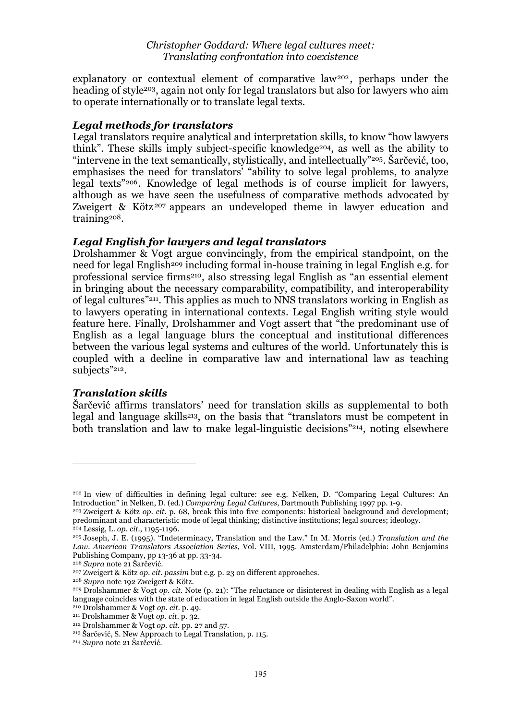explanatory or contextual element of comparative law<sup>202</sup>, perhaps under the heading of style<sup>203</sup>, again not only for legal translators but also for lawyers who aim to operate internationally or to translate legal texts.

## *Legal methods for translators*

Legal translators require analytical and interpretation skills, to know "how lawyers think". These skills imply subject-specific knowledge204, as well as the ability to "intervene in the text semantically, stylistically, and intellectually"205. Šarčević, too, emphasises the need for translators' "ability to solve legal problems, to analyze legal texts"206. Knowledge of legal methods is of course implicit for lawyers, although as we have seen the usefulness of comparative methods advocated by Zweigert & Kötz<sup>207</sup> appears an undeveloped theme in lawyer education and training208.

## *Legal English for lawyers and legal translators*

Drolshammer & Vogt argue convincingly, from the empirical standpoint, on the need for legal English<sup>209</sup> including formal in-house training in legal English e.g. for professional service firms210, also stressing legal English as "an essential element in bringing about the necessary comparability, compatibility, and interoperability of legal cultures"211. This applies as much to NNS translators working in English as to lawyers operating in international contexts. Legal English writing style would feature here. Finally, Drolshammer and Vogt assert that "the predominant use of English as a legal language blurs the conceptual and institutional differences between the various legal systems and cultures of the world. Unfortunately this is coupled with a decline in comparative law and international law as teaching subjects"212.

## *Translation skills*

 $\overline{a}$ 

Šarčević affirms translators' need for translation skills as supplemental to both legal and language skills<sup>213</sup>, on the basis that "translators must be competent in both translation and law to make legal-linguistic decisions"214, noting elsewhere

<sup>202</sup> In view of difficulties in defining legal culture: see e.g. Nelken, D. "Comparing Legal Cultures: An Introduction" in Nelken, D. (ed.) *Comparing Legal Cultures*, Dartmouth Publishing 1997 pp. 1-9.

<sup>203</sup> Zweigert & Kötz *op. cit.* p. 68, break this into five components: historical background and development; predominant and characteristic mode of legal thinking; distinctive institutions; legal sources; ideology. <sup>204</sup> Lessig, L. *op. cit.*, 1195-1196.

<sup>205</sup> Joseph, J. E. (1995). "Indeterminacy, Translation and the Law." In M. Morris (ed.) *Translation and the Law*. *American Translators Association Series,* Vol. VIII, 1995. Amsterdam/Philadelphia: John Benjamins Publishing Company, pp 13-36 at pp. 33-34.

<sup>206</sup> *Supra* note 21 Šarčević.

<sup>207</sup> Zweigert & Kötz *op. cit. passim* but e.g. p. 23 on different approaches.

<sup>208</sup> *Supra* note 192 Zweigert & Kötz.

<sup>209</sup> Drolshammer & Vogt *op. cit.* Note (p. 21): "The reluctance or disinterest in dealing with English as a legal language coincides with the state of education in legal English outside the Anglo-Saxon world".

<sup>210</sup> Drolshammer & Vogt *op. cit.* p. 49.

<sup>211</sup> Drolshammer & Vogt *op. cit.* p. 32.

<sup>212</sup> Drolshammer & Vogt *op. cit.* pp. 27 and 57.

<sup>213</sup> Šarčević, S. New Approach to Legal Translation, p. 115.

<sup>214</sup> *Supra* note 21 Šarčević.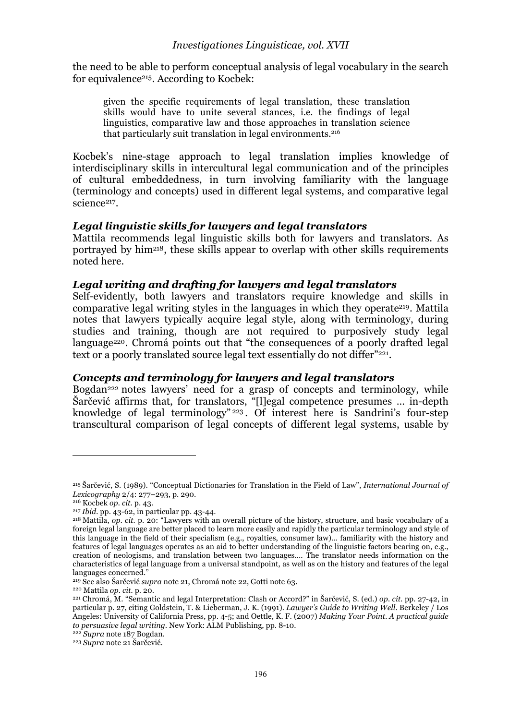the need to be able to perform conceptual analysis of legal vocabulary in the search for equivalence215. According to Kocbek:

given the specific requirements of legal translation, these translation skills would have to unite several stances, i.e. the findings of legal linguistics, comparative law and those approaches in translation science that particularly suit translation in legal environments.<sup>216</sup>

Kocbek's nine-stage approach to legal translation implies knowledge of interdisciplinary skills in intercultural legal communication and of the principles of cultural embeddedness, in turn involving familiarity with the language (terminology and concepts) used in different legal systems, and comparative legal science<sup>217</sup>.

## *Legal linguistic skills for lawyers and legal translators*

Mattila recommends legal linguistic skills both for lawyers and translators. As portrayed by him218, these skills appear to overlap with other skills requirements noted here.

## *Legal writing and drafting for lawyers and legal translators*

Self-evidently, both lawyers and translators require knowledge and skills in comparative legal writing styles in the languages in which they operate<sup>219</sup>. Mattila notes that lawyers typically acquire legal style, along with terminology, during studies and training, though are not required to purposively study legal language<sup>220</sup>. Chromá points out that "the consequences of a poorly drafted legal text or a poorly translated source legal text essentially do not differ<sup>"221</sup>.

## *Concepts and terminology for lawyers and legal translators*

Bogdan<sup>222</sup> notes lawyers' need for a grasp of concepts and terminology, while Šarčević affirms that, for translators, "[l]egal competence presumes … in-depth knowledge of legal terminology" <sup>223</sup> . Of interest here is Sandrini's four-step transcultural comparison of legal concepts of different legal systems, usable by

<sup>215</sup> Šarčević, S. (1989). "Conceptual Dictionaries for Translation in the Field of Law", *International Journal of Lexicography* 2/4: 277–293, p. 290.

<sup>216</sup> Kocbek *op. cit.* p. 43.

<sup>217</sup> *Ibid.* pp. 43-62, in particular pp. 43-44.

<sup>218</sup> Mattila, *op. cit.* p. 20: "Lawyers with an overall picture of the history, structure, and basic vocabulary of a foreign legal language are better placed to learn more easily and rapidly the particular terminology and style of this language in the field of their specialism (e.g., royalties, consumer law)… familiarity with the history and features of legal languages operates as an aid to better understanding of the linguistic factors bearing on, e.g., creation of neologisms, and translation between two languages…. The translator needs information on the characteristics of legal language from a universal standpoint, as well as on the history and features of the legal languages concerned."

<sup>219</sup> See also Šarčević *supra* note 21, Chromá note 22, Gotti note 63.

<sup>220</sup> Mattila *op. cit.* p. 20.

<sup>221</sup> Chromá, M. "Semantic and legal Interpretation: Clash or Accord?" in Šarčević, S. (ed.) *op. cit.* pp. 27-42, in particular p. 27, citing Goldstein, T. & Lieberman, J. K. (1991). *Lawyer's Guide to Writing Well*. Berkeley / Los Angeles: University of California Press, pp. 4-5; and Oettle, K. F. (2007) *Making Your Point. A practical guide to persuasive legal writing*. New York: ALM Publishing, pp. 8-10.

<sup>222</sup> *Supra* note 187 Bogdan.

<sup>223</sup> *Supra* note 21 Šarčević.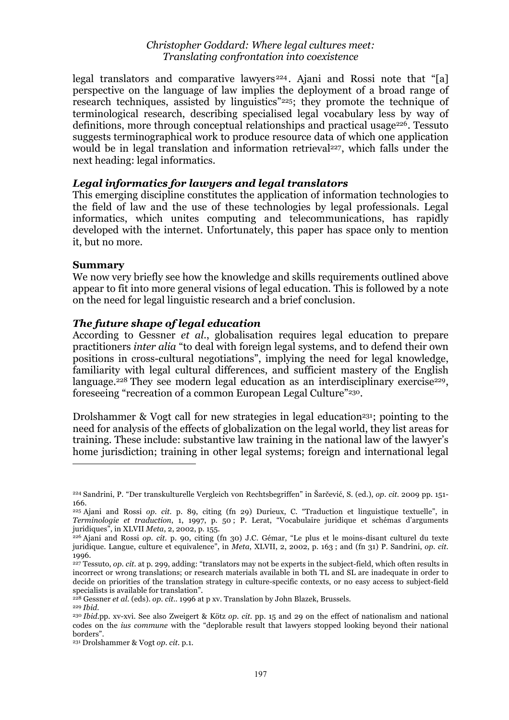legal translators and comparative lawyers<sup>224</sup>. Ajani and Rossi note that "[a] perspective on the language of law implies the deployment of a broad range of research techniques, assisted by linguistics"225; they promote the technique of terminological research, describing specialised legal vocabulary less by way of definitions, more through conceptual relationships and practical usage<sup>226</sup>. Tessuto suggests terminographical work to produce resource data of which one application would be in legal translation and information retrieval<sup>227</sup>, which falls under the next heading: legal informatics.

#### *Legal informatics for lawyers and legal translators*

This emerging discipline constitutes the application of information technologies to the field of law and the use of these technologies by legal professionals. Legal informatics, which unites computing and telecommunications, has rapidly developed with the internet. Unfortunately, this paper has space only to mention it, but no more.

#### **Summary**

We now very briefly see how the knowledge and skills requirements outlined above appear to fit into more general visions of legal education. This is followed by a note on the need for legal linguistic research and a brief conclusion.

#### *The future shape of legal education*

According to Gessner *et al.*, globalisation requires legal education to prepare practitioners *inter alia* "to deal with foreign legal systems, and to defend their own positions in cross-cultural negotiations", implying the need for legal knowledge, familiarity with legal cultural differences, and sufficient mastery of the English language.<sup>228</sup> They see modern legal education as an interdisciplinary exercise<sup>229</sup>. foreseeing "recreation of a common European Legal Culture"230.

Drolshammer & Vogt call for new strategies in legal education<sup>231</sup>; pointing to the need for analysis of the effects of globalization on the legal world, they list areas for training. These include: substantive law training in the national law of the lawyer's home jurisdiction; training in other legal systems; foreign and international legal

<sup>224</sup> Sandrini, P. "Der transkulturelle Vergleich von Rechtsbegriffen" in Šarčević, S. (ed.), *op. cit.* 2009 pp. 151- 166.

<sup>225</sup> Ajani and Rossi *op. cit.* p. 89, citing (fn 29) Durieux, C. "Traduction et linguistique textuelle", in *Terminologie et traduction*, 1, 1997, p. 50 ; P. Lerat, "Vocabulaire juridique et schémas d'arguments juridiques", in XLVII *Meta*, 2, 2002, p. 155.

<sup>226</sup> Ajani and Rossi *op. cit.* p. 90, citing (fn 30) J.C. Gémar, "Le plus et le moins-disant culturel du texte juridique. Langue, culture et equivalence", in *Meta*, XLVII, 2, 2002, p. 163 ; and (fn 31) P. Sandrini, *op. cit.* 1996.

<sup>227</sup> Tessuto, *op. cit.* at p. 299, adding: "translators may not be experts in the subject-field, which often results in incorrect or wrong translations; or research materials available in both TL and SL are inadequate in order to decide on priorities of the translation strategy in culture-specific contexts, or no easy access to subject-field specialists is available for translation".

<sup>228</sup> Gessner *et al.* (eds). *op. cit.*. 1996 at p xv. Translation by John Blazek, Brussels.

<sup>229</sup> *Ibid.*

<sup>230</sup> *Ibid.*pp. xv-xvi. See also Zweigert & Kötz *op. cit.* pp. 15 and 29 on the effect of nationalism and national codes on the *ius commune* with the "deplorable result that lawyers stopped looking beyond their national borders".

<sup>231</sup> Drolshammer & Vogt *op. cit.* p.1.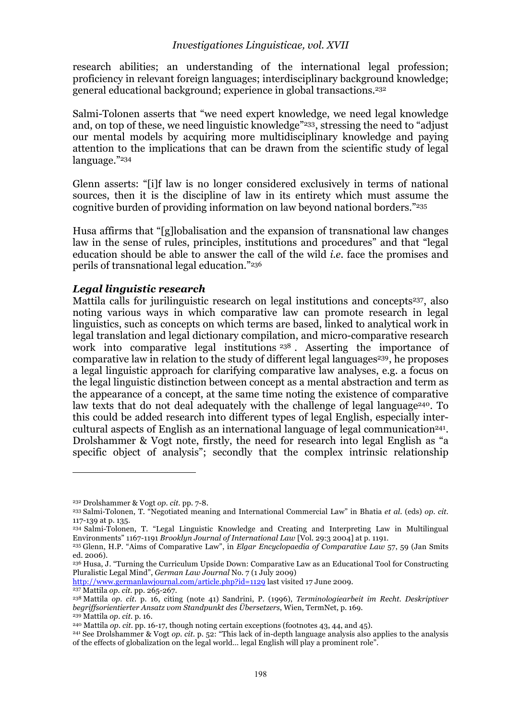#### *Investigationes Linguisticae, vol. XVII*

research abilities; an understanding of the international legal profession; proficiency in relevant foreign languages; interdisciplinary background knowledge; general educational background; experience in global transactions.232

Salmi-Tolonen asserts that "we need expert knowledge, we need legal knowledge and, on top of these, we need linguistic knowledge"233, stressing the need to "adjust our mental models by acquiring more multidisciplinary knowledge and paying attention to the implications that can be drawn from the scientific study of legal language."234

Glenn asserts: "[i]f law is no longer considered exclusively in terms of national sources, then it is the discipline of law in its entirety which must assume the cognitive burden of providing information on law beyond national borders."235

Husa affirms that "[g]lobalisation and the expansion of transnational law changes law in the sense of rules, principles, institutions and procedures" and that "legal education should be able to answer the call of the wild *i.e.* face the promises and perils of transnational legal education."236

#### *Legal linguistic research*

Mattila calls for jurilinguistic research on legal institutions and concepts<sup>237</sup>, also noting various ways in which comparative law can promote research in legal linguistics, such as concepts on which terms are based, linked to analytical work in legal translation and legal dictionary compilation, and micro-comparative research work into comparative legal institutions <sup>238</sup>. Asserting the importance of comparative law in relation to the study of different legal languages<sup>239</sup>, he proposes a legal linguistic approach for clarifying comparative law analyses, e.g. a focus on the legal linguistic distinction between concept as a mental abstraction and term as the appearance of a concept, at the same time noting the existence of comparative law texts that do not deal adequately with the challenge of legal language<sup>240</sup>. To this could be added research into different types of legal English, especially intercultural aspects of English as an international language of legal communication<sup>241</sup>. Drolshammer & Vogt note, firstly, the need for research into legal English as "a specific object of analysis"; secondly that the complex intrinsic relationship

http://www.germanlawjournal.com/article.php?id=1129 last visited 17 June 2009.

<sup>232</sup> Drolshammer & Vogt *op. cit.* pp. 7-8.

<sup>233</sup> Salmi-Tolonen, T. "Negotiated meaning and International Commercial Law" in Bhatia *et al.* (eds) *op. cit.* 117-139 at p. 135.

<sup>234</sup> Salmi-Tolonen, T. "Legal Linguistic Knowledge and Creating and Interpreting Law in Multilingual Environments" 1167-1191 *Brooklyn Journal of International Law* [Vol. 29:3 2004] at p. 1191.

<sup>235</sup> Glenn, H.P. "Aims of Comparative Law", in *Elgar Encyclopaedia of Comparative Law* 57, 59 (Jan Smits ed. 2006).

<sup>236</sup> Husa, J. "Turning the Curriculum Upside Down: Comparative Law as an Educational Tool for Constructing Pluralistic Legal Mind", *German Law Journal* No. 7 (1 July 2009)

<sup>237</sup> Mattila *op. cit.* pp. 265-267.

<sup>238</sup> Mattila *op. cit.* p. 16, citing (note 41) Sandrini, P. (1996), *Terminologiearbeit im Recht. Deskriptiver begriffsorientierter Ansatz vom Standpunkt des Übersetzers*, Wien, TermNet, p. 169.

<sup>&</sup>lt;sup>239</sup> Mattila *op. cit.* p. 16.<br><sup>240</sup> Mattila *op. cit.* pp. 16-17, though noting certain exceptions (footnotes 43, 44, and 45).

<sup>&</sup>lt;sup>241</sup> See Drolshammer & Vogt *op. cit.* p. 52: "This lack of in-depth language analysis also applies to the analysis of the effects of globalization on the legal world… legal English will play a prominent role".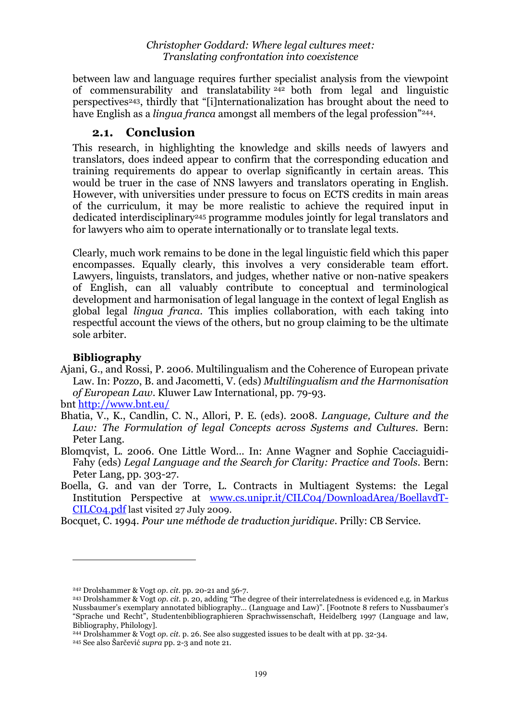between law and language requires further specialist analysis from the viewpoint of commensurability and translatability 242 both from legal and linguistic perspectives243, thirdly that "[i]nternationalization has brought about the need to have English as a *lingua franca* amongst all members of the legal profession"<sup>244</sup>.

## **2.1. Conclusion**

This research, in highlighting the knowledge and skills needs of lawyers and translators, does indeed appear to confirm that the corresponding education and training requirements do appear to overlap significantly in certain areas. This would be truer in the case of NNS lawyers and translators operating in English. However, with universities under pressure to focus on ECTS credits in main areas of the curriculum, it may be more realistic to achieve the required input in dedicated interdisciplinary245 programme modules jointly for legal translators and for lawyers who aim to operate internationally or to translate legal texts.

Clearly, much work remains to be done in the legal linguistic field which this paper encompasses. Equally clearly, this involves a very considerable team effort. Lawyers, linguists, translators, and judges, whether native or non-native speakers of English, can all valuably contribute to conceptual and terminological development and harmonisation of legal language in the context of legal English as global legal *lingua franca*. This implies collaboration, with each taking into respectful account the views of the others, but no group claiming to be the ultimate sole arbiter.

## **Bibliography**

Ajani, G., and Rossi, P. 2006. Multilingualism and the Coherence of European private Law. In: Pozzo, B. and Jacometti, V. (eds) *Multilingualism and the Harmonisation of European Law*. Kluwer Law International, pp. 79-93.

bnt http://www.bnt.eu/

- Bhatia, V., K., Candlin, C. N., Allori, P. E. (eds). 2008. *Language, Culture and the Law: The Formulation of legal Concepts across Systems and Cultures*. Bern: Peter Lang.
- Blomqvist, L. 2006. One Little Word... In: Anne Wagner and Sophie Cacciaguidi-Fahy (eds) *Legal Language and the Search for Clarity: Practice and Tools*. Bern: Peter Lang, pp. 303-27.
- Boella, G. and van der Torre, L. Contracts in Multiagent Systems: the Legal Institution Perspective at www.cs.unipr.it/CILC04/DownloadArea/BoellavdT-CILC04.pdf last visited 27 July 2009.
- Bocquet, C. 1994. *Pour une méthode de traduction juridique*. Prilly: CB Service.

<sup>242</sup> Drolshammer & Vogt *op. cit.* pp. 20-21 and 56-7.

<sup>243</sup> Drolshammer & Vogt *op. cit.* p. 20, adding "The degree of their interrelatedness is evidenced e.g. in Markus Nussbaumer's exemplary annotated bibliography… (Language and Law)". [Footnote 8 refers to Nussbaumer's "Sprache und Recht", Studentenbibliographieren Sprachwissenschaft, Heidelberg 1997 (Language and law, Bibliography, Philology].

<sup>244</sup> Drolshammer & Vogt *op. cit.* p. 26. See also suggested issues to be dealt with at pp. 32-34.

<sup>245</sup> See also Šarčević *supra* pp. 2-3 and note 21.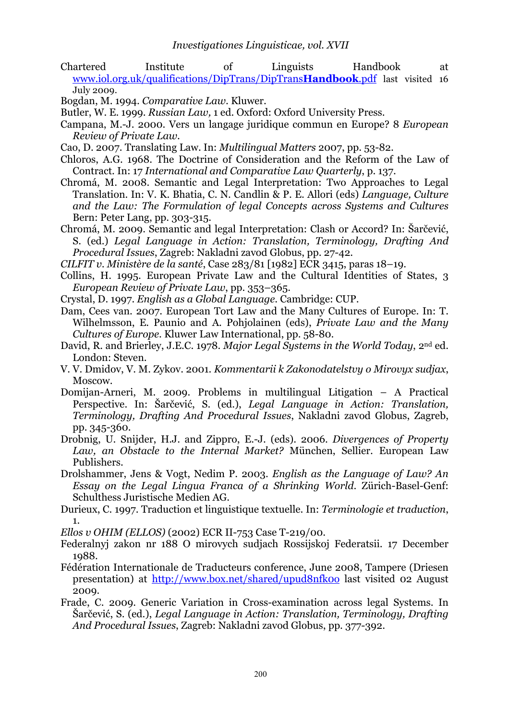Chartered Institute of Linguists Handbook at www.iol.org.uk/qualifications/DipTrans/DipTrans**Handbook**.pdf last visited 16 July 2009.

Bogdan, M. 1994. *Comparative Law*. Kluwer.

Butler, W. E. 1999. *Russian Law,* 1 ed. Oxford: Oxford University Press.

- Campana, M.-J. 2000. Vers un langage juridique commun en Europe? 8 *European Review of Private Law*.
- Cao, D. 2007. Translating Law. In: *Multilingual Matters* 2007, pp. 53-82.
- Chloros, A.G. 1968. The Doctrine of Consideration and the Reform of the Law of Contract. In: 17 *International and Comparative Law Quarterly*, p. 137.
- Chromá, M. 2008. Semantic and Legal Interpretation: Two Approaches to Legal Translation. In: V. K. Bhatia, C. N. Candlin & P. E. Allori (eds) *Language, Culture and the Law: The Formulation of legal Concepts across Systems and Cultures* Bern: Peter Lang, pp. 303-315.

Chromá, M. 2009. Semantic and legal Interpretation: Clash or Accord? In: Šarčević, S. (ed.) *Legal Language in Action: Translation, Terminology, Drafting And Procedural Issues*, Zagreb: Nakladni zavod Globus, pp. 27-42.

*CILFIT v. Ministère de la santé*, Case 283/81 [1982] ECR 3415, paras 18–19.

- Collins, H. 1995. European Private Law and the Cultural Identities of States, 3 *European Review of Private Law*, pp. 353–365.
- Crystal, D. 1997. *English as a Global Language*. Cambridge: CUP.
- Dam, Cees van. 2007. European Tort Law and the Many Cultures of Europe. In: T. Wilhelmsson, E. Paunio and A. Pohjolainen (eds), *Private Law and the Many Cultures of Europe*. Kluwer Law International, pp. 58-80.
- David, R. and Brierley, J.E.C. 1978. *Major Legal Systems in the World Today*, 2nd ed. London: Steven.
- V. V. Dmidov, V. M. Zykov. 2001. *Kommentarii k Zakonodatelstvy o Mirovyx sudjax*, Moscow.
- Domijan-Arneri, M. 2009. Problems in multilingual Litigation A Practical Perspective. In: Šarčević, S. (ed.), *Legal Language in Action: Translation, Terminology, Drafting And Procedural Issues*, Nakladni zavod Globus, Zagreb, pp. 345-360.
- Drobnig, U. Snijder, H.J. and Zippro, E.-J. (eds). 2006. *Divergences of Property Law, an Obstacle to the Internal Market?* München, Sellier. European Law Publishers.
- Drolshammer, Jens & Vogt, Nedim P. 2003. *English as the Language of Law? An Essay on the Legal Lingua Franca of a Shrinking World*. Zürich-Basel-Genf: Schulthess Juristische Medien AG.
- Durieux, C. 1997. Traduction et linguistique textuelle. In: *Terminologie et traduction*, 1.

*Ellos v OHIM (ELLOS)* (2002) ECR II-753 Case T-219/00.

- Federalnyj zakon nr 188 O mirovych sudjach Rossijskoj Federatsii. 17 December 1988.
- Fédération Internationale de Traducteurs conference, June 2008, Tampere (Driesen presentation) at http://www.box.net/shared/upud8nfk0o last visited 02 August 2009.
- Frade, C. 2009. Generic Variation in Cross-examination across legal Systems. In Šarčević, S. (ed.), *Legal Language in Action: Translation, Terminology, Drafting And Procedural Issues*, Zagreb: Nakladni zavod Globus, pp. 377-392.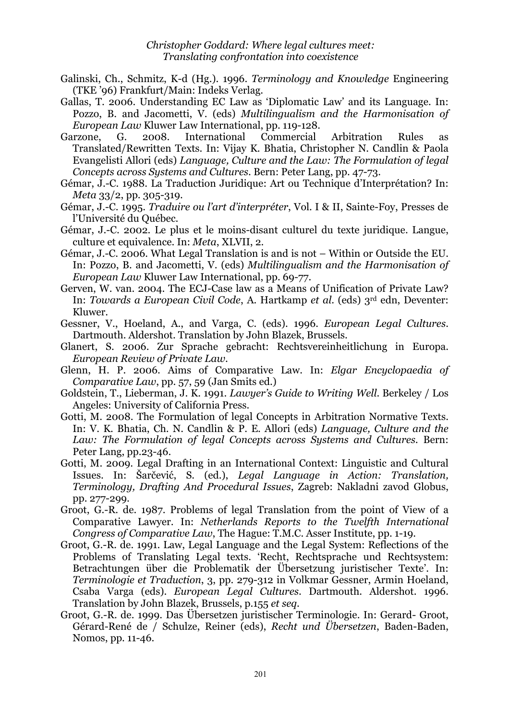- Galinski, Ch., Schmitz, K-d (Hg.). 1996. *Terminology and Knowledge* Engineering (TKE '96) Frankfurt/Main: Indeks Verlag.
- Gallas, T. 2006. Understanding EC Law as 'Diplomatic Law' and its Language. In: Pozzo, B. and Jacometti, V. (eds) *Multilingualism and the Harmonisation of European Law* Kluwer Law International, pp. 119-128.
- Garzone, G. 2008. International Commercial Arbitration Rules as Translated/Rewritten Texts. In: Vijay K. Bhatia, Christopher N. Candlin & Paola Evangelisti Allori (eds) *Language, Culture and the Law: The Formulation of legal Concepts across Systems and Cultures*. Bern: Peter Lang, pp. 47-73.
- Gémar, J.-C. 1988. La Traduction Juridique: Art ou Technique d'Interprétation? In: *Meta* 33/2, pp. 305-319.
- Gémar, J.-C. 1995. *Traduire ou l'art d'interpréter*, Vol. I & II, Sainte-Foy, Presses de l'Université du Québec.
- Gémar, J.-C. 2002. Le plus et le moins-disant culturel du texte juridique. Langue, culture et equivalence. In: *Meta*, XLVII, 2.
- Gémar, J.-C. 2006. What Legal Translation is and is not Within or Outside the EU. In: Pozzo, B. and Jacometti, V. (eds) *Multilingualism and the Harmonisation of European Law* Kluwer Law International, pp. 69-77.
- Gerven, W. van. 2004. The ECJ-Case law as a Means of Unification of Private Law? In: *Towards a European Civil Code*, A. Hartkamp *et al*. (eds) 3rd edn, Deventer: Kluwer.
- Gessner, V., Hoeland, A., and Varga, C. (eds). 1996. *European Legal Cultures*. Dartmouth. Aldershot. Translation by John Blazek, Brussels.
- Glanert, S. 2006. Zur Sprache gebracht: Rechtsvereinheitlichung in Europa. *European Review of Private Law*.
- Glenn, H. P. 2006. Aims of Comparative Law. In: *Elgar Encyclopaedia of Comparative Law*, pp. 57, 59 (Jan Smits ed.)
- Goldstein, T., Lieberman, J. K. 1991. *Lawyer's Guide to Writing Well*. Berkeley / Los Angeles: University of California Press.
- Gotti, M. 2008. The Formulation of legal Concepts in Arbitration Normative Texts. In: V. K. Bhatia, Ch. N. Candlin & P. E. Allori (eds) *Language, Culture and the Law: The Formulation of legal Concepts across Systems and Cultures.* Bern: Peter Lang, pp.23-46.
- Gotti, M. 2009. Legal Drafting in an International Context: Linguistic and Cultural Issues. In: Šarčević, S. (ed.), *Legal Language in Action: Translation, Terminology, Drafting And Procedural Issues*, Zagreb: Nakladni zavod Globus, pp. 277-299.
- Groot, G.-R. de. 1987. Problems of legal Translation from the point of View of a Comparative Lawyer. In: *Netherlands Reports to the Twelfth International Congress of Comparative Law*, The Hague: T.M.C. Asser Institute, pp. 1-19.
- Groot, G.-R. de. 1991. Law, Legal Language and the Legal System: Reflections of the Problems of Translating Legal texts. 'Recht, Rechtsprache und Rechtsystem: Betrachtungen über die Problematik der Übersetzung juristischer Texte'. In: *Terminologie et Traduction*, 3, pp. 279-312 in Volkmar Gessner, Armin Hoeland, Csaba Varga (eds). *European Legal Cultures*. Dartmouth. Aldershot. 1996. Translation by John Blazek, Brussels, p.155 *et seq*.
- Groot, G.-R. de. 1999. Das Übersetzen juristischer Terminologie. In: Gerard- Groot, Gérard-René de / Schulze, Reiner (eds), *Recht und Übersetzen*, Baden-Baden, Nomos, pp. 11-46.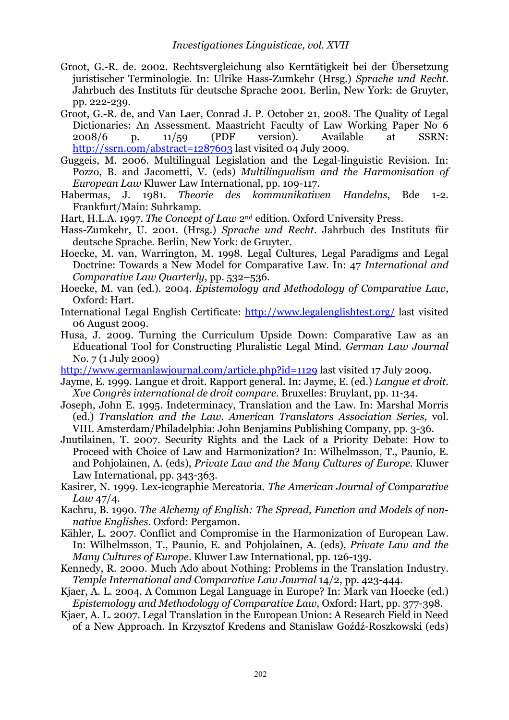- Groot, G.-R. de. 2002. Rechtsvergleichung also Kerntätigkeit bei der Übersetzung juristischer Terminologie. In: Ulrike Hass-Zumkehr (Hrsg.) *Sprache und Recht*. Jahrbuch des Instituts für deutsche Sprache 2001. Berlin, New York: de Gruyter, pp. 222-239.
- Groot, G.-R. de, and Van Laer, Conrad J. P. October 21, 2008. The Quality of Legal Dictionaries: An Assessment. Maastricht Faculty of Law Working Paper No 6 2008/6 p. 11/59 (PDF version). Available at SSRN: http://ssrn.com/abstract=1287603 last visited 04 July 2009.
- Guggeis, M. 2006. Multilingual Legislation and the Legal-linguistic Revision. In: Pozzo, B. and Jacometti, V. (eds) *Multilingualism and the Harmonisation of European Law* Kluwer Law International, pp. 109-117.
- Habermas, J. 1981. *Theorie des kommunikativen Handelns*, Bde 1-2. Frankfurt/Main: Suhrkamp.
- Hart, H.L.A. 1997. *The Concept of Law* 2nd edition. Oxford University Press.
- Hass-Zumkehr, U. 2001. (Hrsg.) *Sprache und Recht*. Jahrbuch des Instituts für deutsche Sprache. Berlin, New York: de Gruyter.
- Hoecke, M. van, Warrington, M. 1998. Legal Cultures, Legal Paradigms and Legal Doctrine: Towards a New Model for Comparative Law. In: 47 *International and Comparative Law Quarterly*, pp. 532–536.
- Hoecke, M. van (ed.). 2004. *Epistemology and Methodology of Comparative Law*, Oxford: Hart.
- International Legal English Certificate: http://www.legalenglishtest.org/ last visited 06 August 2009.
- Husa, J. 2009. Turning the Curriculum Upside Down: Comparative Law as an Educational Tool for Constructing Pluralistic Legal Mind. *German Law Journal* No. 7 (1 July 2009)
- http://www.germanlawjournal.com/article.php?id=1129 last visited 17 July 2009.
- Jayme, E. 1999. Langue et droit. Rapport general. In: Jayme, E. (ed.) *Langue et droit. Xve Congrès international de droit compare*. Bruxelles: Bruylant, pp. 11-34.
- Joseph, John E. 1995. Indeterminacy, Translation and the Law. In: Marshal Morris (ed.) *Translation and the Law*. *American Translators Association Series,* vol. VIII. Amsterdam/Philadelphia: John Benjamins Publishing Company, pp. 3-36.
- Juutilainen, T. 2007. Security Rights and the Lack of a Priority Debate: How to Proceed with Choice of Law and Harmonization? In: Wilhelmsson, T., Paunio, E. and Pohjolainen, A. (eds), *Private Law and the Many Cultures of Europe*. Kluwer Law International, pp. 343-363.
- Kasirer, N. 1999. Lex-icographie Mercatoria. *The American Journal of Comparative Law* 47/4.
- Kachru, B*.* 1990. *The Alchemy of English: The Spread, Function and Models of nonnative Englishes*. Oxford: Pergamon.
- Kähler, L. 2007. Conflict and Compromise in the Harmonization of European Law. In: Wilhelmsson, T., Paunio, E. and Pohjolainen, A. (eds), *Private Law and the Many Cultures of Europe*. Kluwer Law International, pp. 126-139.
- Kennedy, R. 2000. Much Ado about Nothing: Problems in the Translation Industry. *Temple International and Comparative Law Journal* 14/2, pp. 423-444.
- Kjaer, A. L. 2004. A Common Legal Language in Europe? In: Mark van Hoecke (ed.) *Epistemology and Methodology of Comparative Law*, Oxford: Hart, pp. 377-398.
- Kjaer, A. L. 2007. Legal Translation in the European Union: A Research Field in Need of a New Approach. In Krzysztof Kredens and Stanislaw Goźdź-Roszkowski (eds)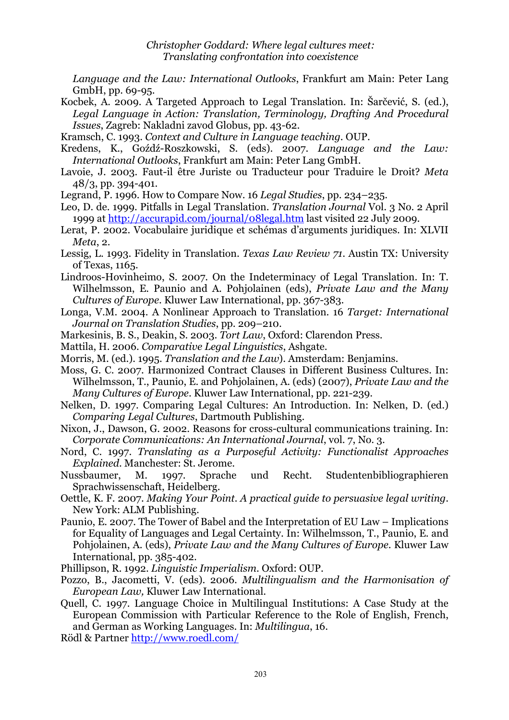*Language and the Law: International Outlooks*, Frankfurt am Main: Peter Lang GmbH, pp. 69-95.

Kocbek, A. 2009. A Targeted Approach to Legal Translation. In: Šarčević, S. (ed.), *Legal Language in Action: Translation, Terminology, Drafting And Procedural Issues*, Zagreb: Nakladni zavod Globus, pp. 43-62.

Kramsch, C. 1993. *Context and Culture in Language teaching*. OUP.

- Kredens, K., Goźdź-Roszkowski, S. (eds). 2007. *Language and the Law: International Outlooks*, Frankfurt am Main: Peter Lang GmbH.
- Lavoie, J. 2003. Faut-il être Juriste ou Traducteur pour Traduire le Droit? *Meta* 48/3, pp. 394-401.

Legrand, P. 1996. How to Compare Now. 16 *Legal Studies*, pp. 234–235.

- Leo, D. de. 1999. Pitfalls in Legal Translation. *Translation Journal* Vol. 3 No. 2 April 1999 at http://accurapid.com/journal/08legal.htm last visited 22 July 2009.
- Lerat, P. 2002. Vocabulaire juridique et schémas d'arguments juridiques. In: XLVII *Meta*, 2.
- Lessig, L. 1993. Fidelity in Translation. *Texas Law Review 71*. Austin TX: University of Texas, 1165.
- Lindroos-Hovinheimo, S. 2007. On the Indeterminacy of Legal Translation. In: T. Wilhelmsson, E. Paunio and A. Pohjolainen (eds), *Private Law and the Many Cultures of Europe*. Kluwer Law International, pp. 367-383.
- Longa, V.M. 2004. A Nonlinear Approach to Translation. 16 *Target: International Journal on Translation Studies*, pp. 209–210.
- Markesinis, B. S., Deakin, S. 2003. *Tort Law*, Oxford: Clarendon Press.
- Mattila, H. 2006. *Comparative Legal Linguistics*, Ashgate.
- Morris, M. (ed.). 1995. *Translation and the Law*). Amsterdam: Benjamins.
- Moss, G. C. 2007. Harmonized Contract Clauses in Different Business Cultures. In: Wilhelmsson, T., Paunio, E. and Pohjolainen, A. (eds) (2007), *Private Law and the Many Cultures of Europe*. Kluwer Law International, pp. 221-239.
- Nelken, D. 1997. Comparing Legal Cultures: An Introduction. In: Nelken, D. (ed.) *Comparing Legal Cultures*, Dartmouth Publishing.
- Nixon, J., Dawson, G. 2002. Reasons for cross-cultural communications training. In: *Corporate Communications: An International Journal*, vol. 7, No. 3.
- Nord, C. 1997. *Translating as a Purposeful Activity: Functionalist Approaches Explained*. Manchester: St. Jerome.
- Nussbaumer, M. 1997. Sprache und Recht. Studentenbibliographieren Sprachwissenschaft, Heidelberg.
- Oettle, K. F. 2007. *Making Your Point. A practical guide to persuasive legal writing*. New York: ALM Publishing.
- Paunio, E. 2007. The Tower of Babel and the Interpretation of EU Law Implications for Equality of Languages and Legal Certainty. In: Wilhelmsson, T., Paunio, E. and Pohjolainen, A. (eds), *Private Law and the Many Cultures of Europe*. Kluwer Law International, pp. 385-402.
- Phillipson, R. 1992. *Linguistic Imperialism*. Oxford: OUP.
- Pozzo, B., Jacometti, V. (eds). 2006. *Multilingualism and the Harmonisation of European Law,* Kluwer Law International.
- Quell, C. 1997. Language Choice in Multilingual Institutions: A Case Study at the European Commission with Particular Reference to the Role of English, French, and German as Working Languages. In: *Multilingua*, 16.
- Rödl & Partner http://www.roedl.com/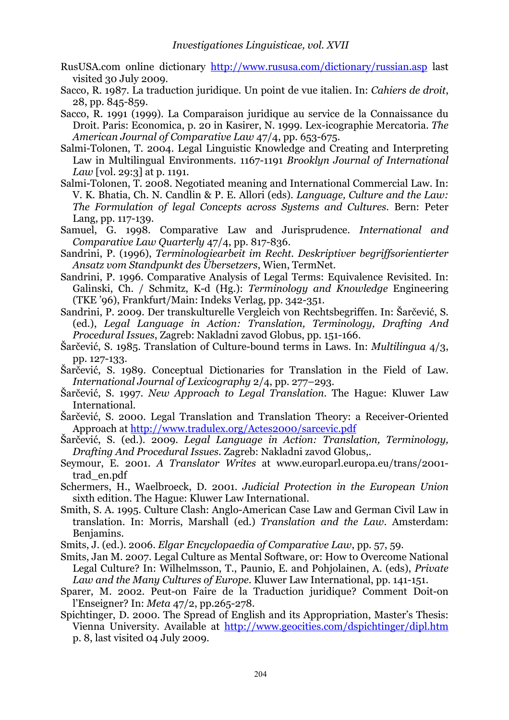- RusUSA.com online dictionary http://www.rususa.com/dictionary/russian.asp last visited 30 July 2009.
- Sacco, R. 1987. La traduction juridique. Un point de vue italien. In: *Cahiers de droit*, 28, pp. 845-859.

Sacco, R. 1991 (1999). La Comparaison juridique au service de la Connaissance du Droit. Paris: Economica, p. 20 in Kasirer, N. 1999. Lex-icographie Mercatoria. *The American Journal of Comparative Law* 47/4, pp. 653-675.

- Salmi-Tolonen, T. 2004. Legal Linguistic Knowledge and Creating and Interpreting Law in Multilingual Environments. 1167-1191 *Brooklyn Journal of International Law* [vol. 29:3] at p. 1191.
- Salmi-Tolonen, T. 2008. Negotiated meaning and International Commercial Law. In: V. K. Bhatia, Ch. N. Candlin & P. E. Allori (eds). *Language, Culture and the Law: The Formulation of legal Concepts across Systems and Cultures.* Bern: Peter Lang, pp. 117-139.
- Samuel, G. 1998. Comparative Law and Jurisprudence. *International and Comparative Law Quarterly* 47/4, pp. 817-836.
- Sandrini, P. (1996), *Terminologiearbeit im Recht. Deskriptiver begriffsorientierter Ansatz vom Standpunkt des Übersetzers*, Wien, TermNet.
- Sandrini, P. 1996. Comparative Analysis of Legal Terms: Equivalence Revisited. In: Galinski, Ch. / Schmitz, K-d (Hg.): *Terminology and Knowledge* Engineering (TKE '96), Frankfurt/Main: Indeks Verlag, pp. 342-351.
- Sandrini, P. 2009. Der transkulturelle Vergleich von Rechtsbegriffen. In: Šarčević, S. (ed.), *Legal Language in Action: Translation, Terminology, Drafting And Procedural Issues*, Zagreb: Nakladni zavod Globus, pp. 151-166.
- Šarčević, S. 1985. Translation of Culture-bound terms in Laws. In: *Multilingua* 4/3, pp. 127-133.
- Šarčević, S. 1989. Conceptual Dictionaries for Translation in the Field of Law. *International Journal of Lexicography* 2/4, pp. 277–293.
- Šarčević, S. 1997. *New Approach to Legal Translation*. The Hague: Kluwer Law International.
- Šarčević, S. 2000. Legal Translation and Translation Theory: a Receiver-Oriented Approach at http://www.tradulex.org/Actes2000/sarcevic.pdf
- Šarčević, S. (ed.). 2009. *Legal Language in Action: Translation, Terminology, Drafting And Procedural Issues*. Zagreb: Nakladni zavod Globus,.
- Seymour, E. 2001. *A Translator Writes* at www.europarl.europa.eu/trans/2001 trad\_en.pdf
- Schermers, H., Waelbroeck, D. 2001. *Judicial Protection in the European Union* sixth edition. The Hague: Kluwer Law International.
- Smith, S. A. 1995. Culture Clash: Anglo-American Case Law and German Civil Law in translation. In: Morris, Marshall (ed.) *Translation and the Law*. Amsterdam: Benjamins.
- Smits, J. (ed.). 2006. *Elgar Encyclopaedia of Comparative Law*, pp. 57, 59.
- Smits, Jan M. 2007. Legal Culture as Mental Software, or: How to Overcome National Legal Culture? In: Wilhelmsson, T., Paunio, E. and Pohjolainen, A. (eds), *Private Law and the Many Cultures of Europe*. Kluwer Law International, pp. 141-151.
- Sparer, M. 2002. Peut-on Faire de la Traduction juridique? Comment Doit-on l'Enseigner? In: *Meta* 47/2, pp.265-278.
- Spichtinger, D. 2000. The Spread of English and its Appropriation, Master's Thesis: Vienna University. Available at http://www.geocities.com/dspichtinger/dipl.htm p. 8, last visited 04 July 2009.